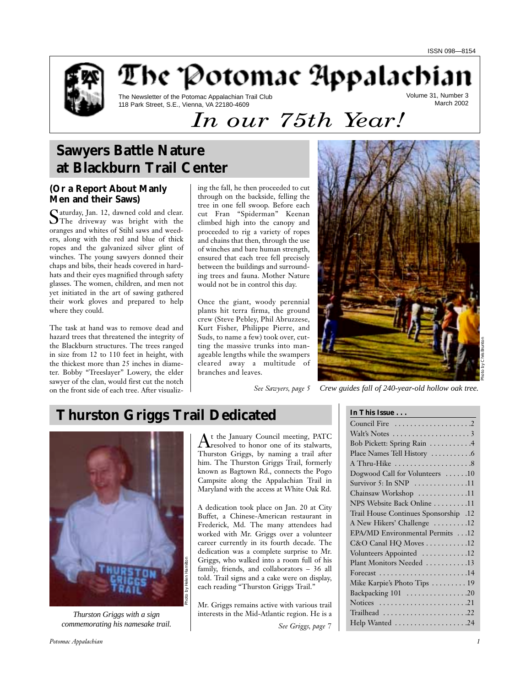

The Potomac Appalachia

The Newsletter of the Potomac Appalachian Trail Club 118 Park Street, S.E., Vienna, VA 22180-4609

Volume 31, Number 3 March 2002

# *In our 75th Year!*

# **Sawyers Battle Nature at Blackburn Trail Center**

# **(Or a Report About Manly Men and their Saws)**

Saturday, Jan. 12, dawned cold and clear.<br>
SThe driveway was bright with the oranges and whites of Stihl saws and weeders, along with the red and blue of thick ropes and the galvanized silver glint of winches. The young sawyers donned their chaps and bibs, their heads covered in hardhats and their eyes magnified through safety glasses. The women, children, and men not yet initiated in the art of sawing gathered their work gloves and prepared to help where they could.

The task at hand was to remove dead and hazard trees that threatened the integrity of the Blackburn structures. The trees ranged in size from 12 to 110 feet in height, with the thickest more than 25 inches in diameter. Bobby "Treeslayer" Lowery, the elder sawyer of the clan, would first cut the notch on the front side of each tree. After visualiz-

ing the fall, he then proceeded to cut through on the backside, felling the tree in one fell swoop. Before each cut Fran "Spiderman" Keenan climbed high into the canopy and proceeded to rig a variety of ropes and chains that then, through the use of winches and bare human strength, ensured that each tree fell precisely between the buildings and surrounding trees and fauna. Mother Nature would not be in control this day.

Once the giant, woody perennial plants hit terra firma, the ground crew (Steve Pebley, Phil Abruzzese, Kurt Fisher, Philippe Pierre, and Suds, to name a few) took over, cutting the massive trunks into manageable lengths while the swampers cleared away a multitude of branches and leaves.



*See Sawyers, page 5 Crew guides fall of 240-year-old hollow oak tree.*

# **Thurston Griggs Trail Dedicated**



*Thurston Griggs with a sign commemorating his namesake trail.*

At the January Council meeting, PATC<br>resolved to honor one of its stalwarts, Thurston Griggs, by naming a trail after him. The Thurston Griggs Trail, formerly known as Bagtown Rd., connects the Pogo Campsite along the Appalachian Trail in Maryland with the access at White Oak Rd.

A dedication took place on Jan. 20 at City Buffet, a Chinese-American restaurant in Frederick, Md. The many attendees had worked with Mr. Griggs over a volunteer career currently in its fourth decade. The dedication was a complete surprise to Mr. Griggs, who walked into a room full of his family, friends, and collaborators – 36 all told. Trail signs and a cake were on display, each reading "Thurston Griggs Trail."

Mr. Griggs remains active with various trail interests in the Mid-Atlantic region. He is a

*See Griggs, page 7*

| In This Issue                                      |
|----------------------------------------------------|
|                                                    |
| Walt's Notes $\dots\dots\dots\dots\dots\dots\dots$ |
| Bob Pickett: Spring Rain 4                         |
|                                                    |
| A Thru-Hike 8                                      |
| Dogwood Call for Volunteers 10                     |
| Survivor 5: In SNP $\dots\dots\dots\dots11$        |
| Chainsaw Workshop 11                               |
| NPS Website Back Online 11                         |
| 12. Trail House Continues Sponsorship              |
| A New Hikers' Challenge 12                         |
| EPA/MD Environmental Permits 12                    |
| C&O Canal HQ Moves 12                              |
| Volunteers Appointed 12                            |
| Plant Monitors Needed 13                           |
| Forecast 14                                        |
| Mike Karpie's Photo Tips  19                       |
| Backpacking 101 20                                 |
|                                                    |
| Trailhead 22                                       |
| Help Wanted 24                                     |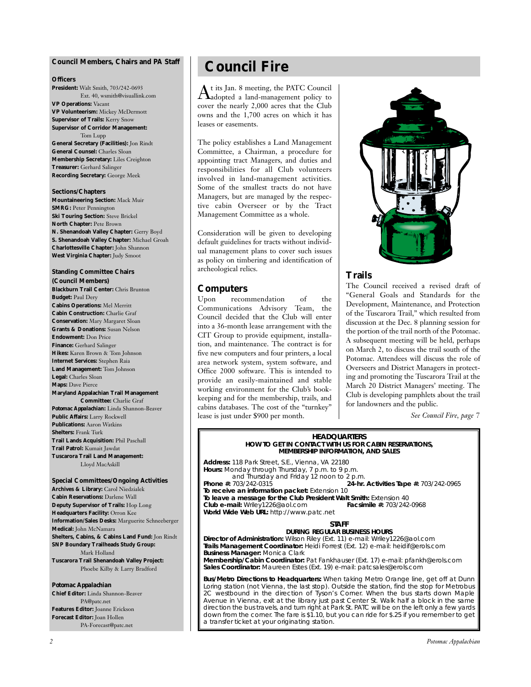### **Council Members, Chairs and** *PA* **Staff**

#### **Officers**

**President:** Walt Smith, 703/242-0693 Ext. 40, wsmith@visuallink.com **VP Operations:** Vacant **VP Volunteerism:** Mickey McDermott **Supervisor of Trails:** Kerry Snow **Supervisor of Corridor Management:** Tom Lupp **General Secretary (Facilities):** Jon Rindt **General Counsel:** Charles Sloan **Membership Secretary:** Liles Creighton **Treasurer:** Gerhard Salinger **Recording Secretary:** George Meek

#### **Sections/Chapters**

**Mountaineering Section:** Mack Muir **SMRG: Peter Pennington Ski Touring Section:** Steve Brickel **North Chapter:** Pete Brown **N. Shenandoah Valley Chapter:** Gerry Boyd **S. Shenandoah Valley Chapter:** Michael Groah **Charlottesville Chapter:** John Shannon **West Virginia Chapter:** Judy Smoot

**Standing Committee Chairs (Council Members) Blackburn Trail Center:** Chris Brunton **Budget:** Paul Dery **Cabins Operations:** Mel Merritt **Cabin Construction:** Charlie Graf **Conservation:** Mary Margaret Sloan **Grants & Donations:** Susan Nelson **Endowment:** Don Price **Finance:** Gerhard Salinger **Hikes:** Karen Brown & Tom Johnson **Internet Services:** Stephen Raia **Land Management:** Tom Johnson **Legal:** Charles Sloan **Maps:** Dave Pierce **Maryland Appalachian Trail Management Committee:** Charlie Graf *Potomac Appalachian:* Linda Shannon-Beaver **Public Affairs:** Larry Rockwell **Publications:** Aaron Watkins **Shelters:** Frank Turk **Trail Lands Acquisition:** Phil Paschall **Trail Patrol:** Kumait Jawdat **Tuscarora Trail Land Management:** Lloyd MacAskill

**Special Committees/Ongoing Activities Archives & Library:** Carol Niedzialek **Cabin Reservations:** Darlene Wall **Deputy Supervisor of Trails:** Hop Long **Headquarters Facility:** Orron Kee **Information/Sales Desks:** Marguerite Schneeberger **Medical:** John McNamara **Shelters, Cabins, & Cabins Land Fund:** Jon Rindt **SNP Boundary Trailheads Study Group:** Mark Holland **Tuscarora Trail Shenandoah Valley Project:** Phoebe Kilby & Larry Bradford

### *Potomac Appalachian*

**Chief Editor:** Linda Shannon-Beaver PA@patc.net **Features Editor:** Joanne Erickson **Forecast Editor:** Joan Hollen PA-Forecast@patc.net

# **Council Fire**

 $\rm A$ t its Jan. 8 meeting, the PATC Council<br> $\rm A$ adopted a land-management policy to cover the nearly 2,000 acres that the Club owns and the 1,700 acres on which it has leases or easements.

The policy establishes a Land Management Committee, a Chairman, a procedure for appointing tract Managers, and duties and responsibilities for all Club volunteers involved in land-management activities. Some of the smallest tracts do not have Managers, but are managed by the respective cabin Overseer or by the Tract Management Committee as a whole.

Consideration will be given to developing default guidelines for tracts without individual management plans to cover such issues as policy on timbering and identification of archeological relics.

### **Computers**

Upon recommendation of the Communications Advisory Team, the Council decided that the Club will enter into a 36-month lease arrangement with the CIT Group to provide equipment, installation, and maintenance. The contract is for five new computers and four printers, a local area network system, system software, and Office 2000 software. This is intended to provide an easily-maintained and stable working environment for the Club's bookkeeping and for the membership, trails, and cabins databases. The cost of the "turnkey" lease is just under \$900 per month.



# **Trails**

The Council received a revised draft of "General Goals and Standards for the Development, Maintenance, and Protection of the Tuscarora Trail," which resulted from discussion at the Dec. 8 planning session for the portion of the trail north of the Potomac. A subsequent meeting will be held, perhaps on March 2, to discuss the trail south of the Potomac. Attendees will discuss the role of Overseers and District Managers in protecting and promoting the Tuscarora Trail at the March 20 District Managers' meeting. The Club is developing pamphlets about the trail for landowners and the public.

*See Council Fire, page 7*

#### **HEADQUARTERS HOW TO GET IN CONTACT WITH US FOR CABIN RESERVATIONS, MEMBERSHIP INFORMATION, AND SALES**

**Address:** 118 Park Street, S.E., Vienna, VA 22180 **Hours:** Monday through Thursday, 7 p.m. to 9 p.m. and Thursday and Friday 12 noon to 2 p.m.<br>**24-hr.** 24-hr. **Phone #:** 703/242-0315 **24-hr. Activities Tape #:** 703/242-0965 **To receive an information packet:** Extension 10 **To leave a message for the Club President Walt Smith:** Extension 40 **Club e-mail: Wriley1226@aol.com World Wide Web URL:** http://www.patc.net

#### **STAFF**

**DURING REGULAR BUSINESS HOURS Director of Administration:** Wilson Riley (Ext. 11) e-mail: Wriley1226@aol.com **Trails Management Coordinator:** Heidi Forrest (Ext. 12) e-mail: heidif@erols.com **Business Manager:** Monica Clark **Membership/Cabin Coordinator:** Pat Fankhauser (Ext. 17) e-mail: pfankh@erols.com **Sales Coordinator:** Maureen Estes (Ext. 19) e-mail: patcsales@erols.com

**Bus/Metro Directions to Headquarters:** When taking Metro Orange line, get off at Dunn Loring station (not Vienna, the last stop). Outside the station, find the stop for Metrobus 2C westbound in the direction of Tyson's Corner. When the bus starts down Maple Avenue in Vienna, exit at the library just past Center St. Walk half a block in the same direction the bus travels, and turn right at Park St. PATC will be on the left only a few yards down from the corner. The fare is \$1.10, but you can ride for \$.25 if you remember to get a transfer ticket at your originating station.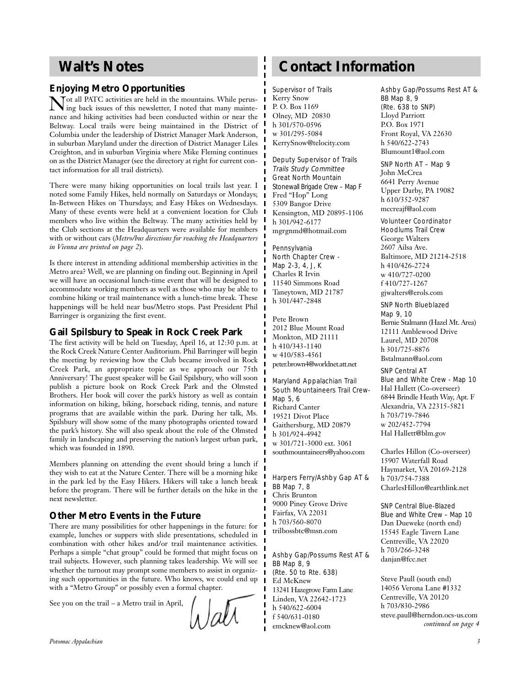# **Walt's Notes**

# **Enjoying Metro Opportunities**

Tot all PATC activities are held in the mountains. While perusing back issues of this newsletter, I noted that many maintenance and hiking activities had been conducted within or near the Beltway. Local trails were being maintained in the District of Columbia under the leadership of District Manager Mark Anderson, in suburban Maryland under the direction of District Manager Liles Creighton, and in suburban Virginia where Mike Fleming continues on as the District Manager (see the directory at right for current contact information for all trail districts).

There were many hiking opportunities on local trails last year. I noted some Family Hikes, held normally on Saturdays or Mondays; In-Between Hikes on Thursdays; and Easy Hikes on Wednesdays. Many of these events were held at a convenient location for Club members who live within the Beltway. The many activities held by the Club sections at the Headquarters were available for members with or without cars (*Metro/bus directions for reaching the Headquarters in Vienna are printed on page 2*).

Is there interest in attending additional membership activities in the Metro area? Well, we are planning on finding out. Beginning in April we will have an occasional lunch-time event that will be designed to accommodate working members as well as those who may be able to combine hiking or trail maintenance with a lunch-time break. These happenings will be held near bus/Metro stops. Past President Phil Barringer is organizing the first event.

# **Gail Spilsbury to Speak in Rock Creek Park**

The first activity will be held on Tuesday, April 16, at 12:30 p.m. at the Rock Creek Nature Center Auditorium. Phil Barringer will begin the meeting by reviewing how the Club became involved in Rock Creek Park, an appropriate topic as we approach our 75th Anniversary! The guest speaker will be Gail Spilsbury, who will soon publish a picture book on Rock Creek Park and the Olmsted Brothers. Her book will cover the park's history as well as contain information on hiking, biking, horseback riding, tennis, and nature programs that are available within the park. During her talk, Ms. Spilsbury will show some of the many photographs oriented toward the park's history. She will also speak about the role of the Olmsted family in landscaping and preserving the nation's largest urban park, which was founded in 1890.

Members planning on attending the event should bring a lunch if they wish to eat at the Nature Center. There will be a morning hike in the park led by the Easy Hikers. Hikers will take a lunch break before the program. There will be further details on the hike in the next newsletter.

# **Other Metro Events in the Future**

There are many possibilities for other happenings in the future: for example, lunches or suppers with slide presentations, scheduled in combination with other hikes and/or trail maintenance activities. Perhaps a simple "chat group" could be formed that might focus on trail subjects. However, such planning takes leadership. We will see whether the turnout may prompt some members to assist in organizing such opportunities in the future. Who knows, we could end up with a "Metro Group" or possibly even a formal chapter.

See you on the trail – a Metro trail in April,

# **Contact Information**

Supervisor of Trails Kerry Snow P. O. Box 1169 Olney, MD 20830 h 301/570-0596 w 301/295-5084 KerrySnow@telocity.com

Deputy Supervisor of Trails Trails Study Committee Great North Mountain Stonewall Brigade Crew – Map F Fred "Hop" Long 5309 Bangor Drive Kensington, MD 20895-1106 h 301/942-6177 mgrgnmd@hotmail.com

Pennsylvania North Chapter Crew - Map 2-3, 4, J, K Charles R Irvin 11540 Simmons Road Taneytown, MD 21787 h 301/447-2848

Pete Brown 2012 Blue Mount Road Monkton, MD 21111 h 410/343-1140 w 410/583-4561 peter.brown4@worldnet.att.net

Maryland Appalachian Trail South Mountaineers Trail Crew-Map 5, 6 Richard Canter 19521 Divot Place Gaithersburg, MD 20879 h 301/924-4942 w 301/721-3000 ext. 3061 southmountaineers@yahoo.com

Harpers Ferry/Ashby Gap AT & BB Map 7, 8 Chris Brunton 9000 Piney Grove Drive Fairfax, VA 22031 h 703/560-8070 trilbossbtc@msn.com

### Ashby Gap/Possums Rest AT & BB Map 8, 9 (Rte. 50 to Rte. 638) Ed McKnew

13241 Hazegrove Farm Lane Linden, VA 22642-1723 h 540/622-6004 f 540/631-0180 emcknew@aol.com

Ashby Gap/Possums Rest AT & BB Map 8, 9 (Rte. 638 to SNP) Lloyd Parriott P.O. Box 1971 Front Royal, VA 22630 h 540/622-2743 Blumount1@aol.com

SNP North AT – Map 9

John McCrea 6641 Perry Avenue Upper Darby, PA 19082 h 610/352-9287 mccreajf@aol.com

## Volunteer Coordinator

Hoodlums Trail Crew George Walters 2607 Ailsa Ave. Baltimore, MD 21214-2518 h 410/426-2724 w 410/727-0200 f 410/727-1267 gjwalters@erols.com

SNP North Blueblazed

Map 9, 10 Bernie Stalmann (Hazel Mt. Area) 12111 Amblewood Drive Laurel, MD 20708 h 301/725-8876 Bstalmann@aol.com

SNP Central AT Blue and White Crew - Map 10 Hal Hallett (Co-overseer) 6844 Brindle Heath Way, Apt. F Alexandria, VA 22315-5821 h 703/719-7846 w 202/452-7794 Hal Hallett@blm.gov

Charles Hillon (Co-overseer) 15907 Waterfall Road Haymarket, VA 20169-2128 h 703/754-7388 CharlesHillon@earthlink.net

SNP Central Blue-Blazed Blue and White Crew – Map 10 Dan Dueweke (north end) 15545 Eagle Tavern Lane Centreville, VA 22020 h 703/266-3248 danjan@fcc.net

Steve Paull (south end) 14056 Verona Lane #1332 Centreville, VA 20120 h 703/830-2986 steve.paull@herndon.ocs-us.com *continued on page 4*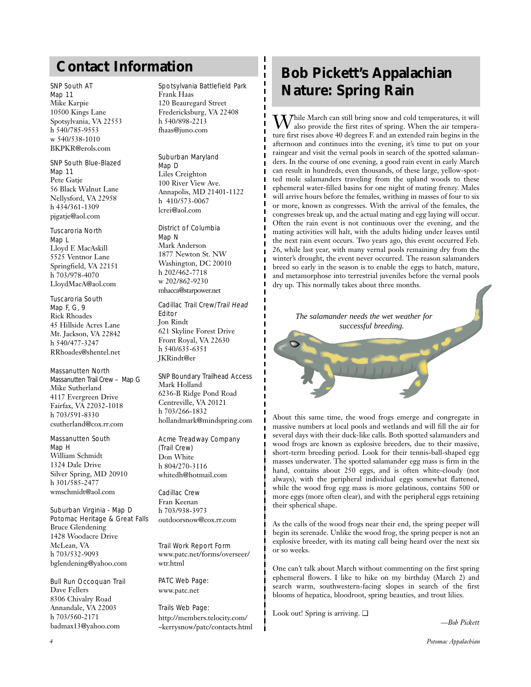### SNP South AT

Map 11 Mike Karpie 10500 Kings Lane Spotsylvania, VA 22553 h 540/785-9553 w 540/538-1010 BKPKR@erols.com

### SNP South Blue-Blazed Map 11 Pete Gatje

56 Black Walnut Lane Nellysford, VA 22958 h 434/361-1309 pjgatje@aol.com

# Tuscaroria North Map L

Lloyd E MacAskill 5525 Ventnor Lane Springfield, VA 22151 h 703/978-4070 LloydMacA@aol.com

### Tuscaroria South Map F, G, 9 Rick Rhoades 45 Hillside Acres Lane Mt. Jackson, VA 22842 h 540/477-3247 RRhoades@shentel.net

# Massanutten North

Massanutten Trail Crew – Map G Mike Sutherland 4117 Evergreen Drive Fairfax, VA 22032-1018 h 703/591-8330 csutherland@cox.rr.com

#### Massanutten South Map H William Schmidt 1324 Dale Drive

Silver Spring, MD 20910 h 301/585-2477 wmschmidt@aol.com

Suburban Virginia - Map D Potomac Heritage & Great Falls Bruce Glendening 1428 Woodacre Drive McLean, VA h 703/532-9093 bglendening@yahoo.com

Bull Run Occoquan Trail Dave Fellers 8306 Chivalry Road Annandale, VA 22003 h 703/560-2171 badmax13@yahoo.com

# Spotsylvania Battlefield Park Frank Haas 120 Beauregard Street

Fredericksburg, VA 22408 h 540/898-2213 fhaas@juno.com

# Suburban Maryland

Map D Liles Creighton 100 River View Ave. Annapolis, MD 21401-1122 h 410/573-0067 lcrei@aol.com

# District of Columbia

Map N Mark Anderson 1877 Newton St. NW Washington, DC 20010 h 202/462-7718 w 202/862-9230 mhacca@starpower.net

### Cadillac Trail Crew/Trail Head Editor Jon Rindt 621 Skyline Forest Drive Front Royal, VA 22630 h 540/635-6351 JKRindt@er

SNP Boundary Trailhead Access Mark Holland 6236-B Ridge Pond Road Centreville, VA 20121 h 703/266-1832 hollandmark@mindspring.com

### Acme Treadway Company (Trail Crew) Don White h 804/270-3116 whitedh@hotmail.com

Cadillac Crew Fran Keenan h 703/938-3973 outdoorsnow@cox.rr.com

Trail Work Report Form www.patc.net/forms/overseer/ wtr.html

PATC Web Page: www.patc.net

Trails Web Page: http://members.telocity.com/ ~kerrysnow/patc/contacts.html

# **Contact Information Bob Pickett's Appalachian Nature: Spring Rain**

 $\mathbf{W}$ hile March can still bring snow and cold temperatures, it will also provide the first rites of spring. When the air temperature first rises above 40 degrees F. and an extended rain begins in the afternoon and continues into the evening, it's time to put on your raingear and visit the vernal pools in search of the spotted salamanders. In the course of one evening, a good rain event in early March can result in hundreds, even thousands, of these large, yellow-spotted mole salamanders traveling from the upland woods to these ephemeral water-filled basins for one night of mating frenzy. Males will arrive hours before the females, writhing in masses of four to six or more, known as congresses. With the arrival of the females, the congresses break up, and the actual mating and egg laying will occur. Often the rain event is not continuous over the evening, and the mating activities will halt, with the adults hiding under leaves until the next rain event occurs. Two years ago, this event occurred Feb. 26, while last year, with many vernal pools remaining dry from the winter's drought, the event never occurred. The reason salamanders breed so early in the season is to enable the eggs to hatch, mature, and metamorphose into terrestrial juveniles before the vernal pools dry up. This normally takes about three months.



About this same time, the wood frogs emerge and congregate in massive numbers at local pools and wetlands and will fill the air for several days with their duck-like calls. Both spotted salamanders and wood frogs are known as explosive breeders, due to their massive, short-term breeding period. Look for their tennis-ball-shaped egg masses underwater. The spotted salamander egg mass is firm in the hand, contains about 250 eggs, and is often white-cloudy (not always), with the peripheral individual eggs somewhat flattened, while the wood frog egg mass is more gelatinous, contains 500 or more eggs (more often clear), and with the peripheral eggs retaining their spherical shape.

As the calls of the wood frogs near their end, the spring peeper will begin its serenade. Unlike the wood frog, the spring peeper is not an explosive breeder, with its mating call being heard over the next six or so weeks.

One can't talk about March without commenting on the first spring ephemeral flowers. I like to hike on my birthday (March 2) and search warm, southwestern-facing slopes in search of the first blooms of hepatica, bloodroot, spring beauties, and trout lilies.

Look out! Spring is arriving. ❏

*—Bob Pickett*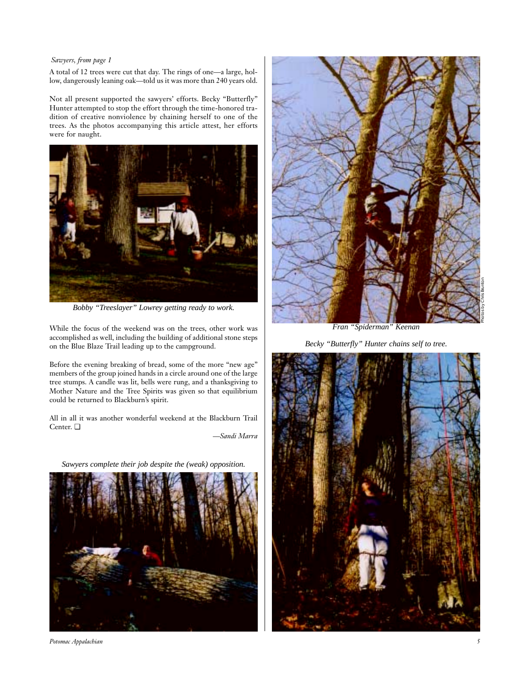# *Sawyers, from page 1*

A total of 12 trees were cut that day. The rings of one—a large, hollow, dangerously leaning oak—told us it was more than 240 years old.

Not all present supported the sawyers' efforts. Becky "Butterfly" Hunter attempted to stop the effort through the time-honored tradition of creative nonviolence by chaining herself to one of the trees. As the photos accompanying this article attest, her efforts were for naught.



*Bobby "Treeslayer" Lowrey getting ready to work.*

While the focus of the weekend was on the trees, other work was accomplished as well, including the building of additional stone steps on the Blue Blaze Trail leading up to the campground.

Before the evening breaking of bread, some of the more "new age" members of the group joined hands in a circle around one of the large tree stumps. A candle was lit, bells were rung, and a thanksgiving to Mother Nature and the Tree Spirits was given so that equilibrium could be returned to Blackburn's spirit.

All in all it was another wonderful weekend at the Blackburn Trail Center. ❏

*—Sandi Marra*

*Sawyers complete their job despite the (weak) opposition.*







*Fran "Spiderman" Keenan*

*Becky "Butterfly" Hunter chains self to tree.*

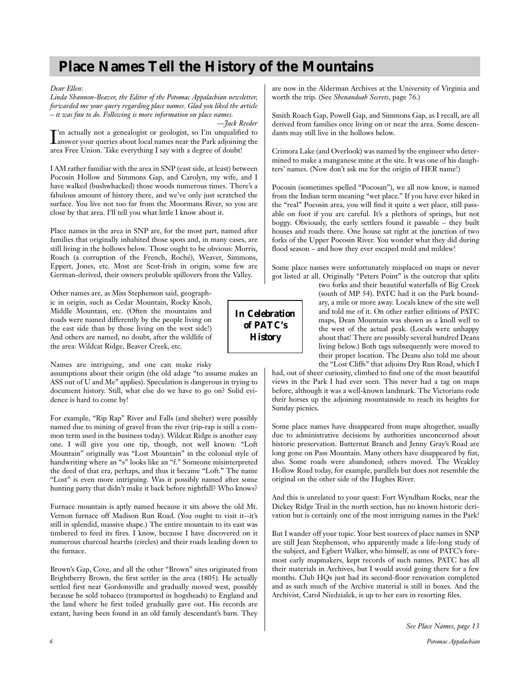# **Place Names Tell the History of the Mountains**

*Dear Ellen:* 

*Linda Shannon-Beaver, the Editor of the Potomac Appalachian newsletter, forwarded me your query regarding place names. Glad you liked the article – it was fun to do. Following is more information on place names.* 

*—Jack Reeder*

I'm actually not a genealogist or geologist, so I'm unqualified to answer your queries about local names near the Park adjoining the answer your queries about local names near the Park adjoining the area Free Union. Take everything I say with a degree of doubt!

I AM rather familiar with the area in SNP (east side, at least) between Pocosin Hollow and Simmons Gap, and Carolyn, my wife, and I have walked (bushwhacked) those woods numerous times. There's a fabulous amount of history there, and we've only just scratched the surface. You live not too far from the Moormans River, so you are close by that area. I'll tell you what little I know about it.

Place names in the area in SNP are, for the most part, named after families that originally inhabited those spots and, in many cases, are still living in the hollows below. Those ought to be obvious: Morris, Roach (a corruption of the French, Roché), Weaver, Simmons, Eppert, Jones, etc. Most are Scot-Irish in origin; some few are German-derived, their owners probable spillovers from the Valley.

Other names are, as Miss Stephenson said, geographic in origin, such as Cedar Mountain, Rocky Knob, Middle Mountain, etc. (Often the mountains and roads were named differently by the people living on the east side than by those living on the west side!) And others are named, no doubt, after the wildlife of the area: Wildcat Ridge, Beaver Creek, etc.

Names are intriguing, and one can make risky

assumptions about their origin (the old adage "to assume makes an ASS out of U and Me" applies). Speculation is dangerous in trying to document history. Still, what else do we have to go on? Solid evidence is hard to come by!

For example, "Rip Rap" River and Falls (and shelter) were possibly named due to mining of gravel from the river (rip-rap is still a common term used in the business today). Wildcat Ridge is another easy one. I will give you one tip, though, not well known: "Loft Mountain" originally was "Lost Mountain" in the colonial style of handwriting where an "s" looks like an "f." Someone misinterpreted the deed of that era, perhaps, and thus it became "Loft." The name "Lost" is even more intriguing. Was it possibly named after some hunting party that didn't make it back before nightfall? Who knows?

Furnace mountain is aptly named because it sits above the old Mt. Vernon furnace off Madison Run Road. (You ought to visit it--it's still in splendid, massive shape.) The entire mountain to its east was timbered to feed its fires. I know, because I have discovered on it numerous charcoal hearths (circles) and their roads leading down to the furnace.

Brown's Gap, Cove, and all the other "Brown" sites originated from Brightberry Brown, the first settler in the area (1805). He actually settled first near Gordonsville and gradually moved west, possibly because he sold tobacco (transported in hogsheads) to England and the land where he first toiled gradually gave out. His records are extant, having been found in an old family descendant's barn. They are now in the Alderman Archives at the University of Virginia and worth the trip. (See *Shenandoah Secrets*, page 76.)

Smith Roach Gap, Powell Gap, and Simmons Gap, as I recall, are all derived from families once living on or near the area. Some descendants may still live in the hollows below.

Crimora Lake (and Overlook) was named by the engineer who determined to make a manganese mine at the site. It was one of his daughters' names. (Now don't ask me for the origin of HER name!)

Pocosin (sometimes spelled "Pocosan"), we all now know, is named from the Indian term meaning "wet place." If you have ever hiked in the "real" Pocosin area, you will find it quite a wet place, still passable on foot if you are careful. It's a plethora of springs, but not boggy. Obviously, the early settlers found it passable – they built houses and roads there. One house sat right at the junction of two forks of the Upper Pocosin River. You wonder what they did during flood season – and how they ever escaped mold and mildew!

Some place names were unfortunately misplaced on maps or never got listed at all. Originally "Peters Point" is the outcrop that splits

two forks and their beautiful waterfalls of Big Creek (south of MP 54). PATC had it on the Park boundary, a mile or more away. Locals knew of the site well and told me of it. On other earlier editions of PATC maps, Dean Mountain was shown as a knoll well to the west of the actual peak. (Locals were unhappy about that! There are possibly several hundred Deans living below.) Both tags subsequently were moved to their proper location. The Deans also told me about the "Lost Cliffs" that adjoins Dry Run Road, which I

had, out of sheer curiosity, climbed to find one of the most beautiful views in the Park I had ever seen. This never had a tag on maps before, although it was a well-known landmark. The Victorians rode their horses up the adjoining mountainside to reach its heights for Sunday picnics.

Some place names have disappeared from maps altogether, usually due to administrative decisions by authorities unconcerned about historic preservation. Butternut Branch and Jenny Gray's Road are long gone on Pass Mountain. Many others have disappeared by fiat, also. Some roads were abandoned; others moved. The Weakley Hollow Road today, for example, parallels but does not resemble the original on the other side of the Hughes River.

And this is unrelated to your quest: Fort Wyndham Rocks, near the Dickey Ridge Trail in the north section, has no known historic derivation but is certainly one of the most intriguing names in the Park!

But I wander off your topic. Your best sources of place names in SNP are still Jean Stephenson, who apparently made a life-long study of the subject, and Egbert Walker, who himself, as one of PATC's foremost early mapmakers, kept records of such names. PATC has all their materials in Archives, but I would avoid going there for a few months. Club HQs just had its second-floor renovation completed and as such much of the Archive material is still in boxes. And the Archivist, Carol Niedzialek, is up to her ears in resorting files.

*In Celebration of PATC's History*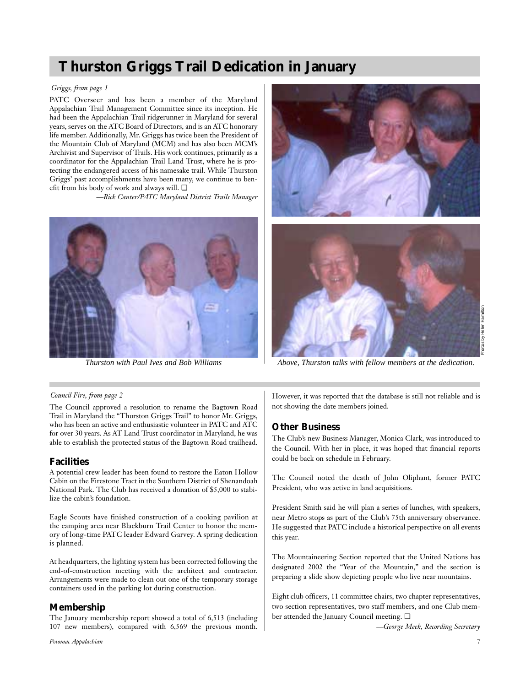# **Thurston Griggs Trail Dedication in January**

## *Griggs, from page 1*

PATC Overseer and has been a member of the Maryland Appalachian Trail Management Committee since its inception. He had been the Appalachian Trail ridgerunner in Maryland for several years, serves on the ATC Board of Directors, and is an ATC honorary life member. Additionally, Mr. Griggs has twice been the President of the Mountain Club of Maryland (MCM) and has also been MCM's Archivist and Supervisor of Trails. His work continues, primarily as a coordinator for the Appalachian Trail Land Trust, where he is protecting the endangered access of his namesake trail. While Thurston Griggs' past accomplishments have been many, we continue to benefit from his body of work and always will. ❏

*—Rick Canter/PATC Maryland District Trails Manager*





*Thurston with Paul Ives and Bob Williams Above, Thurston talks with fellow members at the dedication.*

### *Council Fire, from page 2*

The Council approved a resolution to rename the Bagtown Road Trail in Maryland the "Thurston Griggs Trail" to honor Mr. Griggs, who has been an active and enthusiastic volunteer in PATC and ATC for over 30 years. As AT Land Trust coordinator in Maryland, he was able to establish the protected status of the Bagtown Road trailhead.

# **Facilities**

A potential crew leader has been found to restore the Eaton Hollow Cabin on the Firestone Tract in the Southern District of Shenandoah National Park. The Club has received a donation of \$5,000 to stabilize the cabin's foundation.

Eagle Scouts have finished construction of a cooking pavilion at the camping area near Blackburn Trail Center to honor the memory of long-time PATC leader Edward Garvey. A spring dedication is planned.

At headquarters, the lighting system has been corrected following the end-of-construction meeting with the architect and contractor. Arrangements were made to clean out one of the temporary storage containers used in the parking lot during construction.

# **Membership**

The January membership report showed a total of 6,513 (including 107 new members), compared with 6,569 the previous month. However, it was reported that the database is still not reliable and is not showing the date members joined.

# **Other Business**

The Club's new Business Manager, Monica Clark, was introduced to the Council. With her in place, it was hoped that financial reports could be back on schedule in February.

The Council noted the death of John Oliphant, former PATC President, who was active in land acquisitions.

President Smith said he will plan a series of lunches, with speakers, near Metro stops as part of the Club's 75th anniversary observance. He suggested that PATC include a historical perspective on all events this year.

The Mountaineering Section reported that the United Nations has designated 2002 the "Year of the Mountain," and the section is preparing a slide show depicting people who live near mountains.

Eight club officers, 11 committee chairs, two chapter representatives, two section representatives, two staff members, and one Club member attended the January Council meeting. ❏

*—George Meek, Recording Secretary*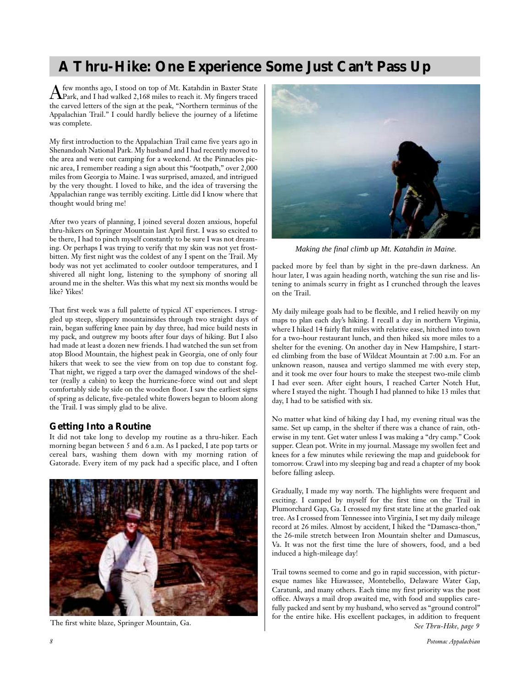# **A Thru-Hike: One Experience Some Just Can't Pass Up**

Afew months ago, I stood on top of Mt. Katahdin in Baxter State Park, and I had walked 2,168 miles to reach it. My fingers traced the carved letters of the sign at the peak, "Northern terminus of the Appalachian Trail." I could hardly believe the journey of a lifetime was complete.

My first introduction to the Appalachian Trail came five years ago in Shenandoah National Park. My husband and I had recently moved to the area and were out camping for a weekend. At the Pinnacles picnic area, I remember reading a sign about this "footpath," over 2,000 miles from Georgia to Maine. I was surprised, amazed, and intrigued by the very thought. I loved to hike, and the idea of traversing the Appalachian range was terribly exciting. Little did I know where that thought would bring me!

After two years of planning, I joined several dozen anxious, hopeful thru-hikers on Springer Mountain last April first. I was so excited to be there, I had to pinch myself constantly to be sure I was not dreaming. Or perhaps I was trying to verify that my skin was not yet frostbitten. My first night was the coldest of any I spent on the Trail. My body was not yet acclimated to cooler outdoor temperatures, and I shivered all night long, listening to the symphony of snoring all around me in the shelter. Was this what my next six months would be like? Yikes!

That first week was a full palette of typical AT experiences. I struggled up steep, slippery mountainsides through two straight days of rain, began suffering knee pain by day three, had mice build nests in my pack, and outgrew my boots after four days of hiking. But I also had made at least a dozen new friends. I had watched the sun set from atop Blood Mountain, the highest peak in Georgia, one of only four hikers that week to see the view from on top due to constant fog. That night, we rigged a tarp over the damaged windows of the shelter (really a cabin) to keep the hurricane-force wind out and slept comfortably side by side on the wooden floor. I saw the earliest signs of spring as delicate, five-petaled white flowers began to bloom along the Trail. I was simply glad to be alive.

# **Getting Into a Routine**

It did not take long to develop my routine as a thru-hiker. Each morning began between 5 and 6 a.m. As I packed, I ate pop tarts or cereal bars, washing them down with my morning ration of Gatorade. Every item of my pack had a specific place, and I often





*Making the final climb up Mt. Katahdin in Maine.*

packed more by feel than by sight in the pre-dawn darkness. An hour later, I was again heading north, watching the sun rise and listening to animals scurry in fright as I crunched through the leaves on the Trail.

My daily mileage goals had to be flexible, and I relied heavily on my maps to plan each day's hiking. I recall a day in northern Virginia, where I hiked 14 fairly flat miles with relative ease, hitched into town for a two-hour restaurant lunch, and then hiked six more miles to a shelter for the evening. On another day in New Hampshire, I started climbing from the base of Wildcat Mountain at 7:00 a.m. For an unknown reason, nausea and vertigo slammed me with every step, and it took me over four hours to make the steepest two-mile climb I had ever seen. After eight hours, I reached Carter Notch Hut, where I stayed the night. Though I had planned to hike 13 miles that day, I had to be satisfied with six.

No matter what kind of hiking day I had, my evening ritual was the same. Set up camp, in the shelter if there was a chance of rain, otherwise in my tent. Get water unless I was making a "dry camp." Cook supper. Clean pot. Write in my journal. Massage my swollen feet and knees for a few minutes while reviewing the map and guidebook for tomorrow. Crawl into my sleeping bag and read a chapter of my book before falling asleep.

Gradually, I made my way north. The highlights were frequent and exciting. I camped by myself for the first time on the Trail in Plumorchard Gap, Ga. I crossed my first state line at the gnarled oak tree. As I crossed from Tennessee into Virginia, I set my daily mileage record at 26 miles. Almost by accident, I hiked the "Damasca-thon," the 26-mile stretch between Iron Mountain shelter and Damascus, Va. It was not the first time the lure of showers, food, and a bed induced a high-mileage day!

Trail towns seemed to come and go in rapid succession, with picturesque names like Hiawassee, Montebello, Delaware Water Gap, Caratunk, and many others. Each time my first priority was the post office. Always a mail drop awaited me, with food and supplies carefully packed and sent by my husband, who served as "ground control" for the entire hike. His excellent packages, in addition to frequent The first white blaze, Springer Mountain, Ga.<br>See Thru-Hike, page 9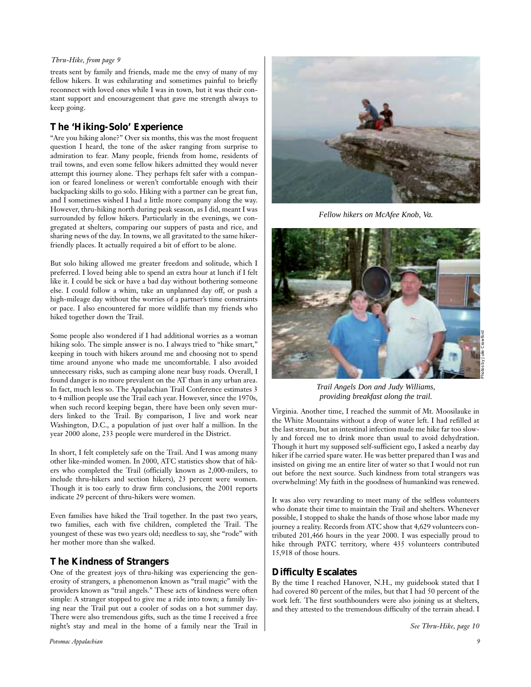### *Thru-Hike, from page 9*

treats sent by family and friends, made me the envy of many of my fellow hikers. It was exhilarating and sometimes painful to briefly reconnect with loved ones while I was in town, but it was their constant support and encouragement that gave me strength always to keep going.

# **The 'Hiking-Solo' Experience**

"Are you hiking alone?" Over six months, this was the most frequent question I heard, the tone of the asker ranging from surprise to admiration to fear. Many people, friends from home, residents of trail towns, and even some fellow hikers admitted they would never attempt this journey alone. They perhaps felt safer with a companion or feared loneliness or weren't comfortable enough with their backpacking skills to go solo. Hiking with a partner can be great fun, and I sometimes wished I had a little more company along the way. However, thru-hiking north during peak season, as I did, meant I was surrounded by fellow hikers. Particularly in the evenings, we congregated at shelters, comparing our suppers of pasta and rice, and sharing news of the day. In towns, we all gravitated to the same hikerfriendly places. It actually required a bit of effort to be alone.

But solo hiking allowed me greater freedom and solitude, which I preferred. I loved being able to spend an extra hour at lunch if I felt like it. I could be sick or have a bad day without bothering someone else. I could follow a whim, take an unplanned day off, or push a high-mileage day without the worries of a partner's time constraints or pace. I also encountered far more wildlife than my friends who hiked together down the Trail.

Some people also wondered if I had additional worries as a woman hiking solo. The simple answer is no. I always tried to "hike smart," keeping in touch with hikers around me and choosing not to spend time around anyone who made me uncomfortable. I also avoided unnecessary risks, such as camping alone near busy roads. Overall, I found danger is no more prevalent on the AT than in any urban area. In fact, much less so. The Appalachian Trail Conference estimates 3 to 4 million people use the Trail each year. However, since the 1970s, when such record keeping began, there have been only seven murders linked to the Trail. By comparison, I live and work near Washington, D.C., a population of just over half a million. In the year 2000 alone, 233 people were murdered in the District.

In short, I felt completely safe on the Trail. And I was among many other like-minded women. In 2000, ATC statistics show that of hikers who completed the Trail (officially known as 2,000-milers, to include thru-hikers and section hikers), 23 percent were women. Though it is too early to draw firm conclusions, the 2001 reports indicate 29 percent of thru-hikers were women.

Even families have hiked the Trail together. In the past two years, two families, each with five children, completed the Trail. The youngest of these was two years old; needless to say, she "rode" with her mother more than she walked.

# **The Kindness of Strangers**

One of the greatest joys of thru-hiking was experiencing the generosity of strangers, a phenomenon known as "trail magic" with the providers known as "trail angels." These acts of kindness were often simple: A stranger stopped to give me a ride into town; a family living near the Trail put out a cooler of sodas on a hot summer day. There were also tremendous gifts, such as the time I received a free night's stay and meal in the home of a family near the Trail in



*Fellow hikers on McAfee Knob, Va.*



*Trail Angels Don and Judy Williams, providing breakfast along the trail.*

Virginia. Another time, I reached the summit of Mt. Moosilauke in the White Mountains without a drop of water left. I had refilled at the last stream, but an intestinal infection made me hike far too slowly and forced me to drink more than usual to avoid dehydration. Though it hurt my supposed self-sufficient ego, I asked a nearby day hiker if he carried spare water. He was better prepared than I was and insisted on giving me an entire liter of water so that I would not run out before the next source. Such kindness from total strangers was overwhelming! My faith in the goodness of humankind was renewed.

It was also very rewarding to meet many of the selfless volunteers who donate their time to maintain the Trail and shelters. Whenever possible, I stopped to shake the hands of those whose labor made my journey a reality. Records from ATC show that 4,629 volunteers contributed 201,466 hours in the year 2000. I was especially proud to hike through PATC territory, where 435 volunteers contributed 15,918 of those hours.

# **Difficulty Escalates**

By the time I reached Hanover, N.H., my guidebook stated that I had covered 80 percent of the miles, but that I had 50 percent of the work left. The first southbounders were also joining us at shelters, and they attested to the tremendous difficulty of the terrain ahead. I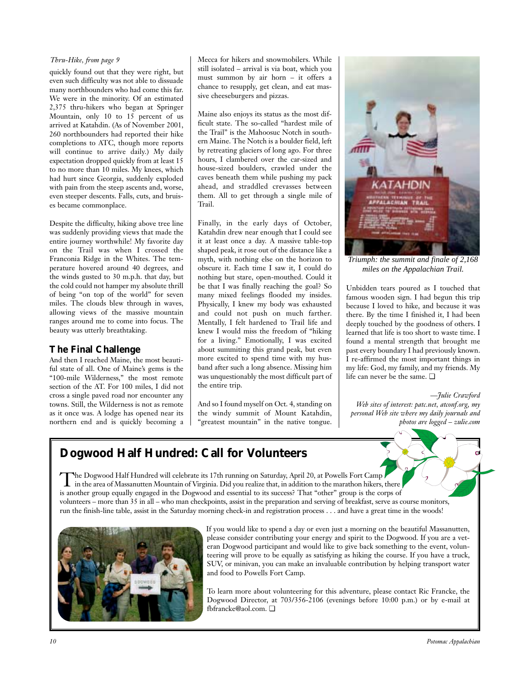### *Thru-Hike, from page 9*

quickly found out that they were right, but even such difficulty was not able to dissuade many northbounders who had come this far. We were in the minority. Of an estimated 2,375 thru-hikers who began at Springer Mountain, only 10 to 15 percent of us arrived at Katahdin. (As of November 2001, 260 northbounders had reported their hike completions to ATC, though more reports will continue to arrive daily.) My daily expectation dropped quickly from at least 15 to no more than 10 miles. My knees, which had hurt since Georgia, suddenly exploded with pain from the steep ascents and, worse, even steeper descents. Falls, cuts, and bruises became commonplace.

Despite the difficulty, hiking above tree line was suddenly providing views that made the entire journey worthwhile! My favorite day on the Trail was when I crossed the Franconia Ridge in the Whites. The temperature hovered around 40 degrees, and the winds gusted to 30 m.p.h. that day, but the cold could not hamper my absolute thrill of being "on top of the world" for seven miles. The clouds blew through in waves, allowing views of the massive mountain ranges around me to come into focus. The beauty was utterly breathtaking.

# **The Final Challenge**

And then I reached Maine, the most beautiful state of all. One of Maine's gems is the "100-mile Wilderness," the most remote section of the AT. For 100 miles, I did not cross a single paved road nor encounter any towns. Still, the Wilderness is not as remote as it once was. A lodge has opened near its northern end and is quickly becoming a Mecca for hikers and snowmobilers. While still isolated – arrival is via boat, which you must summon by air horn – it offers a chance to resupply, get clean, and eat massive cheeseburgers and pizzas.

Maine also enjoys its status as the most difficult state. The so-called "hardest mile of the Trail" is the Mahoosuc Notch in southern Maine. The Notch is a boulder field, left by retreating glaciers of long ago. For three hours, I clambered over the car-sized and house-sized boulders, crawled under the caves beneath them while pushing my pack ahead, and straddled crevasses between them. All to get through a single mile of Trail.

Finally, in the early days of October, Katahdin drew near enough that I could see it at least once a day. A massive table-top shaped peak, it rose out of the distance like a myth, with nothing else on the horizon to obscure it. Each time I saw it, I could do nothing but stare, open-mouthed. Could it be that I was finally reaching the goal? So many mixed feelings flooded my insides. Physically, I knew my body was exhausted and could not push on much farther. Mentally, I felt hardened to Trail life and knew I would miss the freedom of "hiking for a living." Emotionally, I was excited about summiting this grand peak, but even more excited to spend time with my husband after such a long absence. Missing him was unquestionably the most difficult part of the entire trip.

And so I found myself on Oct. 4, standing on the windy summit of Mount Katahdin, "greatest mountain" in the native tongue.



*Triumph: the summit and finale of 2,168 miles on the Appalachian Trail.*

Unbidden tears poured as I touched that famous wooden sign. I had begun this trip because I loved to hike, and because it was there. By the time I finished it, I had been deeply touched by the goodness of others. I learned that life is too short to waste time. I found a mental strength that brought me past every boundary I had previously known. I re-affirmed the most important things in my life: God, my family, and my friends. My life can never be the same.  $\Box$ 

*—Julie Crawford Web sites of interest: patc.net, atconf.org, my personal Web site where my daily journals and photos are logged – zulie.com*

# **Dogwood Half Hundred: Call for Volunteers**

The Dogwood Half Hundred will celebrate its 17th running on Saturday, April 20, at Powells Fort Camp<br>in the area of Massanutten Mountain of Virginia. Did you realize that, in addition to the marathon hikers, there is another group equally engaged in the Dogwood and essential to its success? That "other" group is the corps of volunteers – more than 35 in all – who man checkpoints, assist in the preparation and serving of breakfast, serve as course monitors, run the finish-line table, assist in the Saturday morning check-in and registration process . . . and have a great time in the woods!



If you would like to spend a day or even just a morning on the beautiful Massanutten, please consider contributing your energy and spirit to the Dogwood. If you are a veteran Dogwood participant and would like to give back something to the event, volunteering will prove to be equally as satisfying as hiking the course. If you have a truck, SUV, or minivan, you can make an invaluable contribution by helping transport water and food to Powells Fort Camp.

To learn more about volunteering for this adventure, please contact Ric Francke, the Dogwood Director, at 703/356-2106 (evenings before 10:00 p.m.) or by e-mail at fbfrancke@aol.com. ❏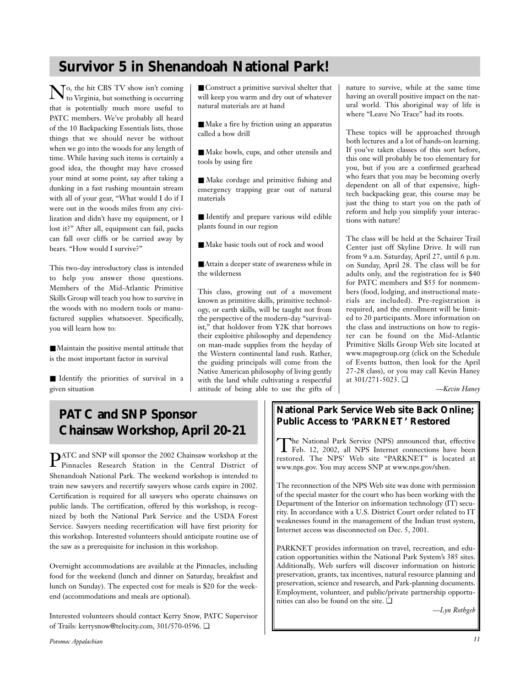# **Survivor 5 in Shenandoah National Park!**

 $\mathbf{N}_{\text{to}}^{\text{o, the hit CBS TV show isn't coming}}$ that is potentially much more useful to PATC members. We've probably all heard of the 10 Backpacking Essentials lists, those things that we should never be without when we go into the woods for any length of time. While having such items is certainly a good idea, the thought may have crossed your mind at some point, say after taking a dunking in a fast rushing mountain stream with all of your gear, "What would I do if I were out in the woods miles from any civilization and didn't have my equipment, or I lost it?" After all, equipment can fail, packs can fall over cliffs or be carried away by bears. "How would I survive?"

This two-day introductory class is intended to help you answer those questions. Members of the Mid-Atlantic Primitive Skills Group will teach you how to survive in the woods with no modern tools or manufactured supplies whatsoever. Specifically, you will learn how to:

■ Maintain the positive mental attitude that is the most important factor in survival

■ Identify the priorities of survival in a given situation

■ Construct a primitive survival shelter that will keep you warm and dry out of whatever natural materials are at hand

■ Make a fire by friction using an apparatus called a bow drill

■ Make bowls, cups, and other utensils and tools by using fire

■ Make cordage and primitive fishing and emergency trapping gear out of natural materials

■ Identify and prepare various wild edible plants found in our region

■ Make basic tools out of rock and wood

■ Attain a deeper state of awareness while in the wilderness

This class, growing out of a movement known as primitive skills, primitive technology, or earth skills, will be taught not from the perspective of the modern-day "survivalist," that holdover from Y2K that borrows their exploitive philosophy and dependency on man-made supplies from the heyday of the Western continental land rush. Rather, the guiding principals will come from the Native American philosophy of living gently with the land while cultivating a respectful attitude of being able to use the gifts of nature to survive, while at the same time having an overall positive impact on the natural world. This aboriginal way of life is where "Leave No Trace" had its roots.

These topics will be approached through both lectures and a lot of hands-on learning. If you've taken classes of this sort before, this one will probably be too elementary for you, but if you are a confirmed gearhead who fears that you may be becoming overly dependent on all of that expensive, hightech backpacking gear, this course may be just the thing to start you on the path of reform and help you simplify your interactions with nature!

The class will be held at the Schairer Trail Center just off Skyline Drive. It will run from 9 a.m. Saturday, April 27, until 6 p.m. on Sunday, April 28. The class will be for adults only, and the registration fee is \$40 for PATC members and \$55 for nonmembers (food, lodging, and instructional materials are included). Pre-registration is required, and the enrollment will be limited to 20 participants. More information on the class and instructions on how to register can be found on the Mid-Atlantic Primitive Skills Group Web site located at www.mapsgroup.org (click on the Schedule of Events button, then look for the April 27-28 class), or you may call Kevin Haney at 301/271-5023. ❏

*—Kevin Haney*

# **PATC and SNP Sponsor Chainsaw Workshop, April 20-21**

**PATC** and SNP will sponsor the 2002 Chainsaw workshop at the Pinnacles Research Station in the Central District of Shenandoah National Park. The weekend workshop is intended to train new sawyers and recertify sawyers whose cards expire in 2002. Certification is required for all sawyers who operate chainsaws on public lands. The certification, offered by this workshop, is recognized by both the National Park Service and the USDA Forest Service. Sawyers needing recertification will have first priority for this workshop. Interested volunteers should anticipate routine use of the saw as a prerequisite for inclusion in this workshop.

Overnight accommodations are available at the Pinnacles, including food for the weekend (lunch and dinner on Saturday, breakfast and lunch on Sunday). The expected cost for meals is \$20 for the weekend (accommodations and meals are optional).

Interested volunteers should contact Kerry Snow, PATC Supervisor of Trails: kerrysnow@telocity.com, 301/570-0596. ❏

# **National Park Service Web site Back Online; Public Access to 'PARKNET' Restored**

The National Park Service (NPS) announced that, effective<br>Feb. 12, 2002, all NPS Internet connections have been<br> $\frac{1}{2}$ restored. The NPS' Web site "PARKNET" is located at www.nps.gov. You may access SNP at www.nps.gov/shen.

The reconnection of the NPS Web site was done with permission of the special master for the court who has been working with the Department of the Interior on information technology (IT) security. In accordance with a U.S. District Court order related to IT weaknesses found in the management of the Indian trust system, Internet access was disconnected on Dec. 5, 2001.

PARKNET provides information on travel, recreation, and education opportunities within the National Park System's 385 sites. Additionally, Web surfers will discover information on historic preservation, grants, tax incentives, natural resource planning and preservation, science and research, and Park-planning documents. Employment, volunteer, and public/private partnership opportunities can also be found on the site. ❏

*—Lyn Rothgeb*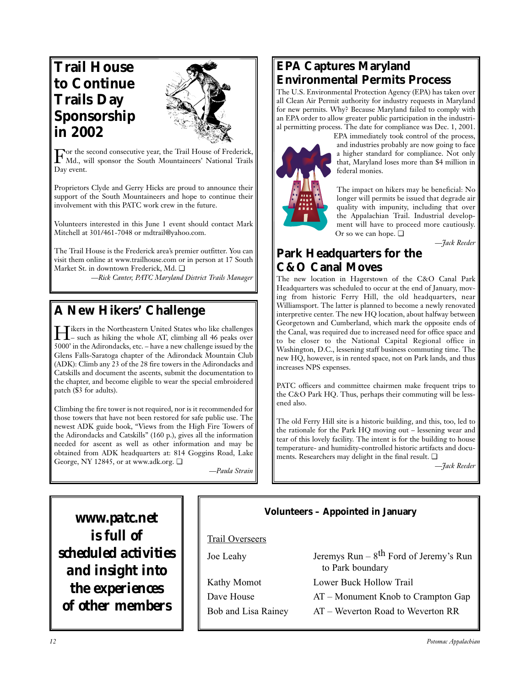# **Trail House to Continue Trails Day Sponsorship in 2002**



For the second consecutive year, the Trail House of Frederick, Md., will sponsor the South Mountaineers' National Trails Day event.

Proprietors Clyde and Gerry Hicks are proud to announce their support of the South Mountaineers and hope to continue their involvement with this PATC work crew in the future.

Volunteers interested in this June 1 event should contact Mark Mitchell at 301/461-7048 or mdtrail@yahoo.com.

The Trail House is the Frederick area's premier outfitter. You can visit them online at www.trailhouse.com or in person at 17 South Market St. in downtown Frederick, Md. ❏

*—Rick Canter, PATC Maryland District Trails Manager*

# **A New Hikers' Challenge**

Hikers in the Northeastern United States who like challenges<br>– such as hiking the whole AT, climbing all 46 peaks over 5000' in the Adirondacks, etc. – have a new challenge issued by the Glens Falls-Saratoga chapter of the Adirondack Mountain Club (ADK): Climb any 23 of the 28 fire towers in the Adirondacks and Catskills and document the ascents, submit the documentation to the chapter, and become eligible to wear the special embroidered patch (\$3 for adults).

Climbing the fire tower is not required, nor is it recommended for those towers that have not been restored for safe public use. The newest ADK guide book, "Views from the High Fire Towers of the Adirondacks and Catskills" (160 p.), gives all the information needed for ascent as well as other information and may be obtained from ADK headquarters at: 814 Goggins Road, Lake George, NY 12845, or at www.adk.org. ❏

*—Paula Strain*

# **EPA Captures Maryland Environmental Permits Process**

The U.S. Environmental Protection Agency (EPA) has taken over all Clean Air Permit authority for industry requests in Maryland for new permits. Why? Because Maryland failed to comply with an EPA order to allow greater public participation in the industrial permitting process. The date for compliance was Dec. 1, 2001.



EPA immediately took control of the process, and industries probably are now going to face a higher standard for compliance. Not only that, Maryland loses more than \$4 million in federal monies.

The impact on hikers may be beneficial: No longer will permits be issued that degrade air quality with impunity, including that over the Appalachian Trail. Industrial development will have to proceed more cautiously. Or so we can hope. ❏

*—Jack Reeder*

# **Park Headquarters for the C&O Canal Moves**

The new location in Hagerstown of the C&O Canal Park Headquarters was scheduled to occur at the end of January, moving from historic Ferry Hill, the old headquarters, near Williamsport. The latter is planned to become a newly renovated interpretive center. The new HQ location, about halfway between Georgetown and Cumberland, which mark the opposite ends of the Canal, was required due to increased need for office space and to be closer to the National Capital Regional office in Washington, D.C., lessening staff business commuting time. The new HQ, however, is in rented space, not on Park lands, and thus increases NPS expenses.

PATC officers and committee chairmen make frequent trips to the C&O Park HQ. Thus, perhaps their commuting will be lessened also.

The old Ferry Hill site is a historic building, and this, too, led to the rationale for the Park HQ moving out – lessening wear and tear of this lovely facility. The intent is for the building to house temperature- and humidity-controlled historic artifacts and documents. Researchers may delight in the final result. ❏

*—Jack Reeder*

*www.patc.net is full of scheduled activities and insight into the experiences of other members*

# **Volunteers – Appointed in January** Trail Overseers

| Joe Leahy   |
|-------------|
| Kathy Momot |
| Dave House  |

| Jeremys Run – $8^{th}$ Ford of Jeremy's Run<br>to Park boundary |
|-----------------------------------------------------------------|
| Lower Buck Hollow Trail                                         |
| $AT - Momentum$ Knob to Crampton Gap                            |
| $AT$ – Weverton Road to Weverton RR                             |
|                                                                 |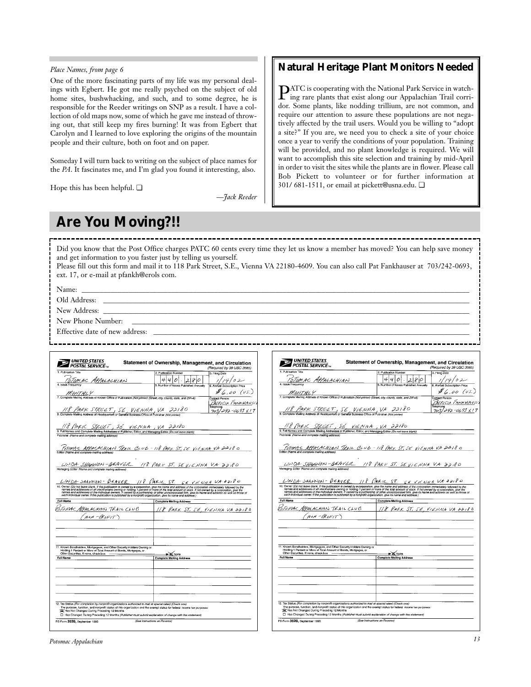### *Place Names, from page 6*

One of the more fascinating parts of my life was my personal dealings with Egbert. He got me really psyched on the subject of old home sites, bushwhacking, and such, and to some degree, he is responsible for the Reeder writings on SNP as a result. I have a collection of old maps now, some of which he gave me instead of throwing out, that still keep my fires burning! It was from Egbert that Carolyn and I learned to love exploring the origins of the mountain people and their culture, both on foot and on paper.

Someday I will turn back to writing on the subject of place names for the *PA*. It fascinates me, and I'm glad you found it interesting, also.

Hope this has been helpful. ❏

*—Jack Reeder*

# **Natural Heritage Plant Monitors Needed**

PATC is cooperating with the National Park Service in watch-ing rare plants that exist along our Appalachian Trail corridor. Some plants, like nodding trillium, are not common, and require our attention to assure these populations are not negatively affected by the trail users. Would you be willing to "adopt a site?" If you are, we need you to check a site of your choice once a year to verify the conditions of your population. Training will be provided, and no plant knowledge is required. We will want to accomplish this site selection and training by mid-April in order to visit the sites while the plants are in flower. Please call Bob Pickett to volunteer or for further information at 301/ 681-1511, or email at pickett@usna.edu. ❏

# **Are You Moving?!!**

Did you know that the Post Office charges PATC 60 cents every time they let us know a member has moved? You can help save money and get information to you faster just by telling us yourself.

| Please fill out this form and mail it to 118 Park Street, S.E., Vienna VA 22180-4609. You can also call Pat Fankhauser at 703/242-0693, |  |
|-----------------------------------------------------------------------------------------------------------------------------------------|--|
| ext. 17, or e-mail at pfankh@erols com.                                                                                                 |  |

Name: \_\_\_\_\_\_\_\_\_\_\_\_\_\_\_\_\_\_\_\_\_\_\_\_\_\_\_\_\_\_\_\_\_\_\_\_\_\_\_\_\_\_\_\_\_\_\_\_\_\_\_\_\_\_\_\_\_\_\_\_\_\_\_\_\_\_\_\_\_\_\_\_\_\_\_\_\_\_\_\_\_\_\_\_\_\_\_\_\_\_\_\_\_\_\_\_\_\_\_\_\_\_\_\_\_\_\_\_

Old Address: \_\_\_\_\_\_\_\_\_\_\_\_\_\_\_\_\_\_\_\_\_\_\_\_\_\_\_\_\_\_\_\_\_\_\_\_\_\_\_\_\_\_\_\_\_\_\_\_\_\_\_\_\_\_\_\_\_\_\_\_\_\_\_\_\_\_\_\_\_\_\_\_\_\_\_\_\_\_\_\_\_\_\_\_\_\_\_\_\_\_\_\_\_\_\_\_\_\_\_\_\_\_

New Address: \_\_\_\_\_\_\_\_\_\_\_\_\_\_\_\_\_\_\_\_\_\_\_\_\_\_\_\_\_\_\_\_\_\_\_\_\_\_\_\_\_\_\_\_\_\_\_\_\_\_\_\_\_\_\_\_\_\_\_\_\_\_\_\_\_\_\_\_\_\_\_\_\_\_\_\_\_\_\_\_\_\_\_\_\_\_\_\_\_\_\_\_\_\_\_\_\_\_\_\_\_\_

New Phone Number:

Effective date of new address:

| 1. Publication Title                                                                                                                                                                                                                                                                                                                                   | (Required by 39 USC 3685)<br>2. Publication Number<br>3. Filing Date                                                                                                                                                              |
|--------------------------------------------------------------------------------------------------------------------------------------------------------------------------------------------------------------------------------------------------------------------------------------------------------------------------------------------------------|-----------------------------------------------------------------------------------------------------------------------------------------------------------------------------------------------------------------------------------|
|                                                                                                                                                                                                                                                                                                                                                        |                                                                                                                                                                                                                                   |
| ISTOMAC APPALACHIAN<br>4. Issue Frequency                                                                                                                                                                                                                                                                                                              | 4<br>$\frac{1}{14}$ / / 4 / 0 2<br>14<br>80<br>о<br>2<br>5. Number of Issues Published Annually                                                                                                                                   |
|                                                                                                                                                                                                                                                                                                                                                        |                                                                                                                                                                                                                                   |
|                                                                                                                                                                                                                                                                                                                                                        | $#_{6,00}$ (us.)                                                                                                                                                                                                                  |
|                                                                                                                                                                                                                                                                                                                                                        | Contact Person                                                                                                                                                                                                                    |
|                                                                                                                                                                                                                                                                                                                                                        | PATRICIA FANKHAUSE<br>Telephone                                                                                                                                                                                                   |
| $\frac{N}{2}$ /18   PARK STREET, SE VIENNA, VA 22180                                                                                                                                                                                                                                                                                                   | $-42 - 0693 \times 17$<br>703.                                                                                                                                                                                                    |
|                                                                                                                                                                                                                                                                                                                                                        |                                                                                                                                                                                                                                   |
|                                                                                                                                                                                                                                                                                                                                                        |                                                                                                                                                                                                                                   |
| $\frac{1}{8.4}$ FMLIC STRUCE 1, SE VIEN NA VA 32180                                                                                                                                                                                                                                                                                                    |                                                                                                                                                                                                                                   |
| Publisher (Name and complete mailing address)                                                                                                                                                                                                                                                                                                          |                                                                                                                                                                                                                                   |
|                                                                                                                                                                                                                                                                                                                                                        |                                                                                                                                                                                                                                   |
|                                                                                                                                                                                                                                                                                                                                                        |                                                                                                                                                                                                                                   |
|                                                                                                                                                                                                                                                                                                                                                        | <u>" [oTOWAL APPALACHIAN TREIL CLUB = 118 PARIL ST, SE VIENNA VA 2018 0</u><br>Edito: (Name and complete mailing address)                                                                                                         |
|                                                                                                                                                                                                                                                                                                                                                        |                                                                                                                                                                                                                                   |
|                                                                                                                                                                                                                                                                                                                                                        |                                                                                                                                                                                                                                   |
|                                                                                                                                                                                                                                                                                                                                                        |                                                                                                                                                                                                                                   |
|                                                                                                                                                                                                                                                                                                                                                        |                                                                                                                                                                                                                                   |
|                                                                                                                                                                                                                                                                                                                                                        |                                                                                                                                                                                                                                   |
|                                                                                                                                                                                                                                                                                                                                                        |                                                                                                                                                                                                                                   |
|                                                                                                                                                                                                                                                                                                                                                        |                                                                                                                                                                                                                                   |
|                                                                                                                                                                                                                                                                                                                                                        | LINDA SAANNON-BEAVER 118 PARIL ST. SE VICUNA UA 22180                                                                                                                                                                             |
|                                                                                                                                                                                                                                                                                                                                                        |                                                                                                                                                                                                                                   |
|                                                                                                                                                                                                                                                                                                                                                        | 10. Owner (Do not leave blank. If the publication is owned by a corporation, give the name and address of the corporation immediately followed by the<br>names and addresses of all stockholders owning or holding 1 persont or m |
|                                                                                                                                                                                                                                                                                                                                                        | <b>Complete Malling Address</b>                                                                                                                                                                                                   |
|                                                                                                                                                                                                                                                                                                                                                        |                                                                                                                                                                                                                                   |
|                                                                                                                                                                                                                                                                                                                                                        | 118 PARK ST. SE, VIENNA VA 22180                                                                                                                                                                                                  |
| NON-PROFIT)                                                                                                                                                                                                                                                                                                                                            |                                                                                                                                                                                                                                   |
|                                                                                                                                                                                                                                                                                                                                                        |                                                                                                                                                                                                                                   |
|                                                                                                                                                                                                                                                                                                                                                        |                                                                                                                                                                                                                                   |
|                                                                                                                                                                                                                                                                                                                                                        |                                                                                                                                                                                                                                   |
|                                                                                                                                                                                                                                                                                                                                                        |                                                                                                                                                                                                                                   |
|                                                                                                                                                                                                                                                                                                                                                        |                                                                                                                                                                                                                                   |
| each individual owner. If the publication is published by a nonprofit organization, give its name and address.)<br>Full Name<br>VOTOMAC APPALACHIAN TRAIL CLUB<br>11. Known Bondholders, Mortgagees, and Other Security Holders Owning or<br>Holding 1 Percent or More of Total Amount of Bonds, Mortgages, or<br>Other Securities. If none, check box |                                                                                                                                                                                                                                   |
|                                                                                                                                                                                                                                                                                                                                                        | > X None<br><b>Complete Mailing Address</b>                                                                                                                                                                                       |
|                                                                                                                                                                                                                                                                                                                                                        |                                                                                                                                                                                                                                   |
|                                                                                                                                                                                                                                                                                                                                                        |                                                                                                                                                                                                                                   |
|                                                                                                                                                                                                                                                                                                                                                        |                                                                                                                                                                                                                                   |
|                                                                                                                                                                                                                                                                                                                                                        |                                                                                                                                                                                                                                   |
|                                                                                                                                                                                                                                                                                                                                                        |                                                                                                                                                                                                                                   |
|                                                                                                                                                                                                                                                                                                                                                        |                                                                                                                                                                                                                                   |
| <b>Full Name</b>                                                                                                                                                                                                                                                                                                                                       |                                                                                                                                                                                                                                   |
|                                                                                                                                                                                                                                                                                                                                                        |                                                                                                                                                                                                                                   |
| 12. Tax Status (For completion by nonprofit organizations authorized to mail at spacial rates) (Check one)                                                                                                                                                                                                                                             |                                                                                                                                                                                                                                   |
| X Has Not Changed During Preceding 12 Months                                                                                                                                                                                                                                                                                                           | The purpose, function, and nonprofit status of this organization and the exempt status for federal income tax purposes:                                                                                                           |

|                                                                                                                                                                                                                                                                                                                                                                                            | 2. Publication Number                  | (Required by 39 USC 3685)          |
|--------------------------------------------------------------------------------------------------------------------------------------------------------------------------------------------------------------------------------------------------------------------------------------------------------------------------------------------------------------------------------------------|----------------------------------------|------------------------------------|
| 1. Publication Title                                                                                                                                                                                                                                                                                                                                                                       |                                        | 3. Filing Date                     |
| OTOMAC APPALACHIAN                                                                                                                                                                                                                                                                                                                                                                         | 4<br>0<br>8<br>ο                       | $\frac{1}{4}$ //4/02               |
|                                                                                                                                                                                                                                                                                                                                                                                            | 5. Number of Issues Published Annually |                                    |
|                                                                                                                                                                                                                                                                                                                                                                                            |                                        | $\frac{N}{N}$ 6,00 (vs.)           |
|                                                                                                                                                                                                                                                                                                                                                                                            |                                        | Contact Person<br>PATRICIA FANKHAU |
|                                                                                                                                                                                                                                                                                                                                                                                            |                                        | Telephone                          |
| $\frac{1}{8}$ $\frac{1}{8}$ $\frac{1}{2}$ $\frac{1}{8}$ $\frac{1}{8}$ $\frac{1}{2}$ $\frac{1}{2}$ $\frac{1}{2}$ $\frac{1}{2}$ $\frac{1}{8}$ $\frac{1}{2}$ $\frac{1}{8}$ $\frac{1}{2}$ $\frac{1}{8}$ $\frac{1}{2}$ $\frac{1}{8}$ $\frac{1}{2}$ $\frac{1}{2}$ $\frac{1}{2}$ $\frac{1}{2}$ $\frac{1}{2}$ $\frac{1}{2}$                                                                        |                                        | $703/292 - 0693 \times 17$         |
|                                                                                                                                                                                                                                                                                                                                                                                            |                                        |                                    |
|                                                                                                                                                                                                                                                                                                                                                                                            |                                        |                                    |
| $\frac{1/8 \text{ } PHEIC \text{ } STCLCEI \text{ } SCL \text{ } V/E. NWR \text{ } VA \text{ } B. PUBC}$<br>9. Full Names and Complete Mailing Addresses of Publisher, Editor, and Managing Editor (Do not leave blank)                                                                                                                                                                    |                                        |                                    |
| Publisher (Name and complete mailing address)                                                                                                                                                                                                                                                                                                                                              |                                        |                                    |
|                                                                                                                                                                                                                                                                                                                                                                                            |                                        |                                    |
|                                                                                                                                                                                                                                                                                                                                                                                            |                                        |                                    |
| <u>" [1501) AL APPALACH (AN "TRAIL CLUB = 118 PARK. ST, SE VIENNA VA 2418 0</u><br>Editor (Name and complete mailing address)                                                                                                                                                                                                                                                              |                                        |                                    |
|                                                                                                                                                                                                                                                                                                                                                                                            |                                        |                                    |
|                                                                                                                                                                                                                                                                                                                                                                                            |                                        |                                    |
|                                                                                                                                                                                                                                                                                                                                                                                            |                                        |                                    |
|                                                                                                                                                                                                                                                                                                                                                                                            |                                        |                                    |
|                                                                                                                                                                                                                                                                                                                                                                                            |                                        |                                    |
| LINDA SAANNON-BEAVER 118 PARIL ST, SE VIEWNA UX 22180                                                                                                                                                                                                                                                                                                                                      |                                        |                                    |
| 10. Owner (Do not leave blank, if the publication is owned by a corporation, give the name and address of the corporation immediately followed by the<br>names and addresses of all stockholders owning or holding 1 percent or more of the total amount of stock. If not owned by a corporation, give the<br>names and addresses of the individual owners. If owned by a partnership or o |                                        |                                    |
|                                                                                                                                                                                                                                                                                                                                                                                            |                                        |                                    |
| each individual owner. If the publication is published by a nonprofit organization, give its name and address.)                                                                                                                                                                                                                                                                            | <b>Complete Malling Address</b>        |                                    |
|                                                                                                                                                                                                                                                                                                                                                                                            | 118 PARK ST. SE, VIENNA VA 22180       |                                    |
|                                                                                                                                                                                                                                                                                                                                                                                            |                                        |                                    |
| NON-PROFIT)                                                                                                                                                                                                                                                                                                                                                                                |                                        |                                    |
|                                                                                                                                                                                                                                                                                                                                                                                            |                                        |                                    |
|                                                                                                                                                                                                                                                                                                                                                                                            |                                        |                                    |
|                                                                                                                                                                                                                                                                                                                                                                                            |                                        |                                    |
|                                                                                                                                                                                                                                                                                                                                                                                            |                                        |                                    |
|                                                                                                                                                                                                                                                                                                                                                                                            |                                        |                                    |
| Holding 1 Percent or More of Total Amount of Bonds, Mortgages, or<br>Other Securities. If none, check box                                                                                                                                                                                                                                                                                  | ► X None                               |                                    |
|                                                                                                                                                                                                                                                                                                                                                                                            | <b>Complete Mailing Address</b>        |                                    |
|                                                                                                                                                                                                                                                                                                                                                                                            |                                        |                                    |
|                                                                                                                                                                                                                                                                                                                                                                                            |                                        |                                    |
|                                                                                                                                                                                                                                                                                                                                                                                            |                                        |                                    |
|                                                                                                                                                                                                                                                                                                                                                                                            |                                        |                                    |
|                                                                                                                                                                                                                                                                                                                                                                                            |                                        |                                    |
|                                                                                                                                                                                                                                                                                                                                                                                            |                                        |                                    |
| Full Name<br>STOMAC APPALACHIAN TRAIL CLUB<br>11. Known Bondholders, Mortgagees, and Other Security Holders Owning or<br><b>Full Name</b>                                                                                                                                                                                                                                                  |                                        |                                    |
|                                                                                                                                                                                                                                                                                                                                                                                            |                                        |                                    |
| 12. Tax Status (For completion by nonprofit organizations authorized to mail at special rates) (Check one)<br>The purpose, function, and nonprofit status of this organization and the exempt status for federal income tax purposes:                                                                                                                                                      |                                        |                                    |
| Sa Has Not Changed During Preceding 12 Months<br>Has Changed During Preceding 12 Months (Publisher must submit explanation of change with this statement)                                                                                                                                                                                                                                  |                                        |                                    |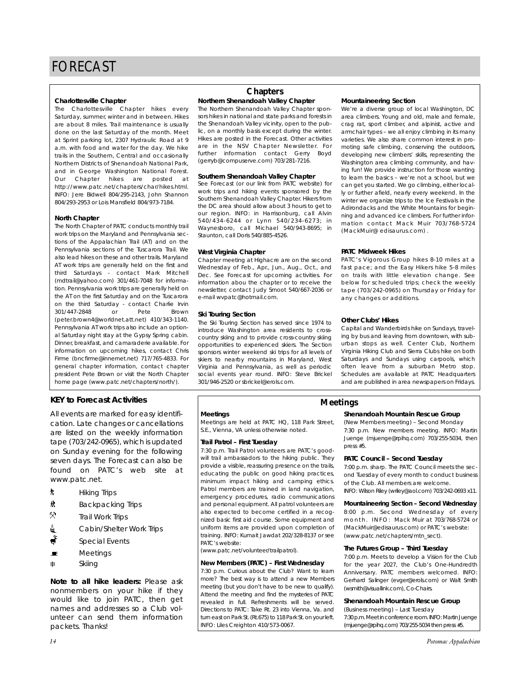#### **Charlottesville Chapter**

The Charlottesville Chapter hikes every Saturday, summer, winter and in between. Hikes are about 8 miles. Trail maintenance is usually done on the last Saturday of the month. Meet at Sprint parking lot, 2307 Hydraulic Road at 9 a.m. with food and water for the day. We hike trails in the Southern, Central and occasionally Northern Districts of Shenandoah National Park, and in George Washington National Forest. Our Chapter hikes are posted at http://www.patc.net/chapters/char/hikes.html. INFO: Jere Bidwell 804/295-2143, John Shannon 804/293-2953 or Lois Mansfield 804/973-7184.

#### **North Chapter**

The North Chapter of PATC conducts monthly trail work trips on the Maryland and Pennsylvania sections of the Appalachian Trail (AT) and on the Pennsylvania sections of the Tuscarora Trail. We also lead hikes on these and other trails. Maryland AT work trips are generally held on the first and third Saturdays - contact Mark Mitchell (mdtrail@yahoo.com) 301/461-7048 for information. Pennsylvania work trips are generally held on the AT on the first Saturday and on the Tuscarora on the third Saturday - contact Charlie Irvin 301/447-2848 or Pete Brown (peter.brown4@worldnet.att.net) 410/343-1140. Pennsylvania AT work trips also include an optional Saturday night stay at the Gypsy Spring cabin. Dinner, breakfast, and camaraderie available. For information on upcoming hikes, contact Chris Firme (bncfirme@innernet.net) 717/765-4833. For general chapter information, contact chapter president Pete Brown or visit the North Chapter home page (www.patc.net/chapters/north/).

# **KEY to Forecast Activities**

All events are marked for easy identification. Late changes or cancellations are listed on the weekly information tape (703/242-0965), which is updated on Sunday evening for the following seven days. The Forecast can also be found on PATC's web site at www.patc.net.

- **A** Hiking Trips
- **\*** Backpacking Trips
- $\heartsuit$ Trail Work Trips
- <u>4</u> Cabin/Shelter Work Trips
- Special Events
- $\blacksquare$  Meetings
- ASkiing

*Note to all hike leaders:* Please ask nonmembers on your hike if they would like to join PATC, then get names and addresses so a Club volunteer can send them information packets. Thanks!

# **Chapters**

**Northern Shenandoah Valley Chapter**

The Northern Shenandoah Valley Chapter sponsors hikes in national and state parks and forests in the Shenandoah Valley vicinity, open to the public, on a monthly basis except during the winter. Hikes are posted in the Forecast. Other activities are in the NSV Chapter Newsletter. For further information contact Gerry Boyd (gerryb@compuserve.com) 703/281-7216.

#### **Southern Shenandoah Valley Chapter**

See Forecast (or our link from PATC website) for work trips and hiking events sponsored by the Southern Shenandoah Valley Chapter. Hikers from the DC area should allow about 3 hours to get to our region. INFO: in Harrisonburg, call Alvin 540/434-6244 or Lynn 540/234-6273; in Waynesboro, call Michael 540/943-8695; in Staunton, call Doris 540/885-4526.

#### **West Virginia Chapter**

Chapter meeting at Highacre are on the second Wednesday of Feb., Apr., Jun., Aug., Oct., and Dec. See Forecast for upcoming activities. For information abou the chapter or to receive the newsletter, contact Judy Smoot 540/667-2036 or e-mail wvpatc@hotmail.com.

#### **Ski Touring Section**

The Ski Touring Section has served since 1974 to introduce Washington area residents to crosscountry skiing and to provide cross-country skiing opportunities to experienced skiers. The Section sponsors winter weekend ski trips for all levels of skiers to nearby mountains in Maryland, West Virginia and Pennsylvania, as well as periodic social events year round. INFO: Steve Brickel 301/946-2520 or sbrickel@erols.com.

#### **Mountaineering Section**

We're a diverse group of local Washington, DC area climbers. Young and old, male and female, crag rat, sport climber, and alpinist, active and armchair types – we all enjoy climbing in its many varieties. We also share common interest in promoting safe climbing, conserving the outdoors, developing new climbers' skills, representing the Washington area climbing community, and having fun! We provide instruction for those wanting to learn the basics – we're not a school, but we can get you started. We go climbing, either locally or further afield, nearly every weekend. In the winter we organize trips to the Ice Festivals in the Adirondacks and the White Mountains for beginning and advanced ice climbers. For further information contact Mack Muir 703/768-5724 (MackMuir@ edisaurus.com) .

#### **PATC Midweek Hikes**

PATC's Vigorous Group hikes 8-10 miles at a fast pace; and the Easy Hikers hike 5-8 miles on trails with little elevation change. See below for scheduled trips; check the weekly tape (703/242-0965) on Thursday or Friday for any changes or additions.

#### **Other Clubs' Hikes**

Capital and Wanderbirds hike on Sundays, traveling by bus and leaving from downtown, with suburban stops as well. Center Club, Northern Virginia Hiking Club and Sierra Clubs hike on both Saturdays and Sundays using carpools, which often leave from a suburban Metro stop. Schedules are available at PATC Headquarters and are published in area newspapers on Fridays.

#### **Meetings**

Meetings are held at PATC HQ, 118 Park Street, S.E., Vienna, VA unless otherwise noted.

#### **Trail Patrol – First Tuesday**

7:30 p.m. Trail Patrol volunteers are PATC's goodwill trail ambassadors to the hiking public. They provide a visible, reassuring presence on the trails, educating the public on good hiking practices, minimum impact hiking and camping ethics. Patrol members are trained in land navigation, emergency procedures, radio communications and personal equipment. All patrol volunteers are also expected to become certified in a recognized basic first aid course. Some equipment and uniform items are provided upon completion of training. INFO: Kumait Jawdat 202/328-8137 or see PATC's website:

(www.patc.net/volunteer/trailpatrol).

### **New Members (PATC) – First Wednesday**

7:30 p.m. Curious about the Club? Want to learn more? The best way is to attend a new Members meeting (but you don't have to be new to qualify). Attend the meeting and find the mysteries of PATC revealed in full. Refreshments will be served. Directions to PATC: Take Rt. 23 into Vienna, Va. and turn east on Park St. (Rt.675) to 118 Park St. on your left. INFO: Liles Creighton 410/573-0067.

## **Meetings**

## **Shenandoah Mountain Rescue Group**

(New Members meeting) – Second Monday 7:30 p.m. New members meeting. INFO: Martin Juenge (mjuenge@rpihq.com) 703/255-5034, then press #5.

#### **PATC Council – Second Tuesday**

7:00 p.m. sharp. The PATC Council meets the second Tuesday of every month to conduct business of the Club. All members are welcome.

INFO: Wilson Riley (wriley@aol.com) 703/242-0693 x11.

#### **Mountaineering Section – Second Wednesday**

8:00 p.m. Second Wednesday of every month. INFO: Mack Muir at 703/768-5724 or (MackMuir@edisaurus.com) or PATC's website: (www.patc.net/chapters/mtn\_sect).

#### **The Futures Group – Third Tuesday**

7:00 p.m. Meets to develop a Vision for the Club for the year 2027, the Club's One-Hundredth Anniversary. PATC members welcomed. INFO: Gerhard Salinger (evger@erols.com) or Walt Smith (wsmith@visuallink.com), Co-Chairs.

#### **Shenandoah Mountain Rescue Group**

(Business meeting) – Last Tuesday 7:30 p.m. Meet in conference room. INFO: Martin Juenge (mjuenge@rpihq.com) 703/255-5034 then press #5.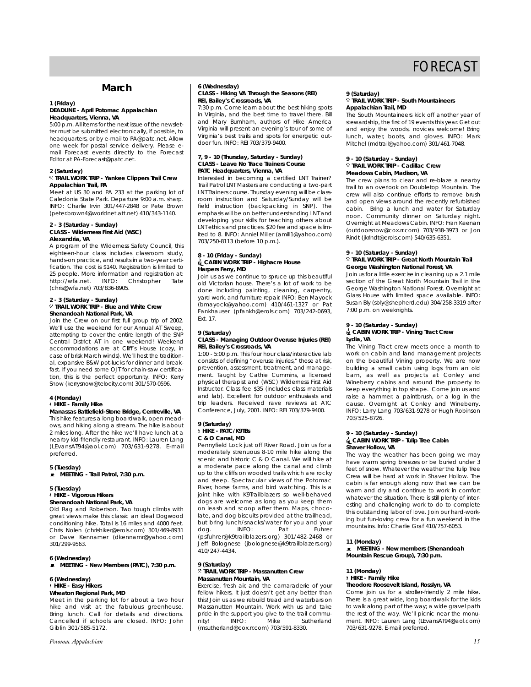# **March**

#### **1 (Friday) DEADLINE - April** *Potomac Appalachian* **Headquarters, Vienna, VA**

5:00 p.m. All items for the next issue of the newsletter must be submitted electronically, if possible, to headquarters, or by e-mail to PA@patc.net. Allow one week for postal service delivery. Please email Forecast events directly to the Forecast Editor at PA-Forecast@patc.net.

# **2 (Saturday)**

#### . **TRAIL WORK TRIP - Yankee Clippers Trail Crew Appalachian Trail, PA**

Meet at US 30 and PA 233 at the parking lot of Caledonia State Park. Departure 9:00 a.m. sharp. INFO: Charlie Irvin 301/447-2848 or Pete Brown (peter.brown4@worldnet.att.net) 410/343-1140.

#### **2 - 3 (Saturday - Sunday) CLASS - Wilderness First Aid (WSC) Alexandria, VA**

A program of the Wilderness Safety Council, this eighteen-hour class includes classroom study, hands-on practice, and results in a two-year certification. The cost is \$140. Registration is limited to 25 people. More information and registration at:<br>http://wfa.net. INFO: Christopher Tate http://wfa.net. (chris@wfa.net) 703/836-8905.

#### **2 - 3 (Saturday - Sunday)** . **TRAIL WORK TRIP - Blue and White Crew Shenandoah National Park, VA**

Join the Crew on our first full group trip of 2002. We'll use the weekend for our Annual AT Sweep, attempting to cover the entire length of the SNP Central District AT in one weekend! Weekend accommodations are at Cliff's House (cozy, in case of brisk March winds). We'll host the traditional, expansive B&W pot-lucks for dinner and breakfast. If you need some OJT for chain-saw certification, this is the perfect opportunity. INFO: Kerry Snow (kerrysnow@telocity.com) 301/570-0596.

#### **4 (Monday)**

# ` **HIKE - Family Hike**

**Manassas Battlefield-Stone Bridge, Centreville, VA** This hike features a long boardwalk, open meadows, and hiking along a stream. The hike is about 2 miles long. After the hike we'll have lunch at a nearby kid-friendly restaurant. INFO: Lauren Lang (LEvansAT94@aol.com) 703/631-9278. E-mail preferred.

#### **5 (Tuesday)**

\ **MEETING - Trail Patrol, 7:30 p.m.**

#### **5 (Tuesday)**

#### ` **HIKE - Vigorous Hikers Shenandoah National Park, VA**

Old Rag and Robertson. Two tough climbs with great views make this classic an ideal Dogwood conditioning hike. Total is 16 miles and 4000 feet. Chris Nolen (chrishiker@erols.com) 301/469-8931 or Dave Kennamer (dkennamr@yahoo.com) 301/299-9563.

#### **6 (Wednesday)**

**E** MEETING - New Members (PATC), 7:30 p.m.

#### **6 (Wednesday)**

### ` **HIKE - Easy Hikers**

**Wheaton Regional Park, MD**

Meet in the parking lot for about a two hour hike and visit at the fabulous greenhouse. Bring lunch. Call for details and directions. Cancelled if schools are closed. INFO: John Giblin 301/585-5172.

#### **6 (Wednesday) CLASS - Hiking VA Through the Seasons (REI) REI, Bailey's Crossroads, VA**

7:30 p.m. Come learn about the best hiking spots in Virginia, and the best time to travel there. Bill and Mary Burnham, authors of *Hike America Virginia* will present an evening's tour of some of Virginia's best trails and spots for energetic outdoor fun. INFO: REI 703/379-9400.

#### **7, 9 - 10 (Thursday, Saturday - Sunday) CLASS - Leave No Trace Trainers Course PATC Headquarters, Vienna, VA**

Interested in becoming a certified LNT Trainer? Trail Patrol LNT Masters are conducting a two-part LNT Trainers course. Thursday evening will be classroom instruction and Saturday/Sunday will be field instruction (backpacking in SNP). The emphasis will be on better understanding LNT and developing your skills for teaching others about LNT ethics and practices. \$20 fee and space is limited to 8. INFO: Anniel Miller (amill1@yahoo.com) 703/250-8113 (before 10 p.m.).

# **8 - 10 (Friday - Sunday)** i**CABIN WORK TRIP - Highacre House Harpers Ferry, MD**

Join us as we continue to spruce up this beautiful old Victorian house. There's a lot of work to be done including painting, cleaning, carpentry, yard work, and furniture repair. INFO: Ben Mayock (bmayock@yahoo.com) 410/461-1327 or Pat Fankhauser (pfankh@erols.com) 703/242-0693, Ext. 17.

#### **9 (Saturday) CLASS - Managing Outdoor Overuse Injuries (REI) REI, Bailey's Crossroads, VA**

1:00 - 5:00 p.m. This four hour class/interactive lab consists of defining "overuse injuries," those at risk, prevention, assessment, treatment, and management. Taught by Cathie Cummins, a licensed physical therapist and (WSC) Wilderness First Aid Instructor. Class fee \$35 (includes class materials and lab). Excellent for outdoor enthusiasts and trip leaders. Received rave reviews at ATC Conference, July, 2001. INFO: REI 703/379-9400.

#### **9 (Saturday)** ` **HIKE - PATC/K9TBs C & O Canal, MD**

Pennyfield Lock just off River Road. Join us for a moderately strenuous 8-10 mile hike along the scenic and historic C & O Canal. We will hike at a moderate pace along the canal and climb up to the cliffs on wooded trails which are rocky and steep. Spectacular views of the Potomac River, horse farms, and bird watching. This is a joint hike with K9Trailblazers so well-behaved dogs are welcome as long as you keep them on leash and scoop after them. Maps, chocolate, and dog biscuits provided at the trailhead, but bring lunch/snacks/water for you and your<br>dog. [INFO: Pat Fuhrer INFO: (psfuhrer@k9trailblazers.org) 301/482-2468 or Jeff Bolognese (jbolognese@k9trailblazers.org) 410/247-4434.

### **9 (Saturday)**

#### . **TRAIL WORK TRIP - Massanutten Crew Massanutten Mountain, VA**

Exercise, fresh air, and the camaraderie of your fellow hikers, it just doesn't get any better than this! Join us as we rebuild tread and waterbars on Massanutten Mountain. Work with us and take pride in the support you give to the trail commu-<br>nity! INFO: Mike Sutherland nity! INFO: Mike Sutherland (msutherland@cox.rr.com) 703/591-8330.

#### **9 (Saturday)**

#### . **TRAIL WORK TRIP - South Mountaineers Appalachian Trail, MD**

The South Mountaineers kick off another year of stewardship, the first of 19 events this year. Get out and enjoy the woods, novices welcome! Bring lunch, water, boots, and gloves. INFO: Mark Mitchel (mdtrail@yahoo.com) 301/461-7048.

# **9 - 10 (Saturday - Sunday)** . **TRAIL WORK TRIP - Cadillac Crew Meadows Cabin, Madison, VA**

The crew plans to clear and re-blaze a nearby trail to an overlook on Doubletop Mountain. The crew will also continue efforts to remove brush and open views around the recently refurbished cabin. Bring a lunch and water for Saturday noon. Community dinner on Saturday night. Overnight at Meadows Cabin. INFO: Fran Keenan (outdoorsnow@cox.rr.com) 703/938-3973 or Jon Rindt (jkrindt@erols.com) 540/635-6351.

# **9 - 10 (Saturday - Sunday)**

#### . **TRAIL WORK TRIP - Great North Mountain Trail George Washington National Forest, VA**

Join us for a little exercise in cleaning up a 2.1 mile section of the Great North Mountain Trail in the George Washington National Forest. Overnight at Glass House with limited space available. INFO: Susan Bly (sbly@shepherd.edu) 304/258-3319 after 7:00 p.m. on weeknights.

## **9 - 10 (Saturday - Sunday)**

#### i**CABIN WORK TRIP - Vining Tract Crew Lydia, VA**

The Vining Tract crew meets once a month to work on cabin and land management projects on the beautiful Vining property. We are now building a small cabin using logs from an old barn, as well as projects at Conley and Wineberry cabins and around the property to keep everything in top shape. Come join us and raise a hammer, a paintbrush, or a log in the cause. Overnight at Conley and Wineberry. INFO: Larry Lang 703/631-9278 or Hugh Robinson 703/525-8726.

#### **9 - 10 (Saturday - Sunday)**  i**CABIN WORK TRIP - Tulip Tree Cabin Shaver Hollow, VA**

The way the weather has been going we may have warm spring breezes or be buried under 3 feet of snow. Whatever the weather the Tulip Tree Crew will be hard at work in Shaver Hollow. The cabin is far enough along now that we can be warm and dry and continue to work in comfort whatever the situation. There is still plenty of interesting and challenging work to do to complete this outstanding labor of love. Join our hard-working but fun-loving crew for a fun weekend in the mountains. Info: Charlie Graf 410/757-6053.

**11 (Monday)** \ **MEETING - New members (Shenandoah Mountain Rescue Group), 7:30 p.m.**

# **11 (Monday)**

#### ` **HIKE - Family Hike Theodore Roosevelt Island, Rosslyn, VA**

Come join us for a stroller-friendly 2 mile hike. There is a great wide, long boardwalk for the kids to walk along part of the way; a wide gravel path the rest of the way. We'll picnic near the monument. INFO: Lauren Lang (LEvansAT94@aol.com) 703/631-9278. E-mail preferred.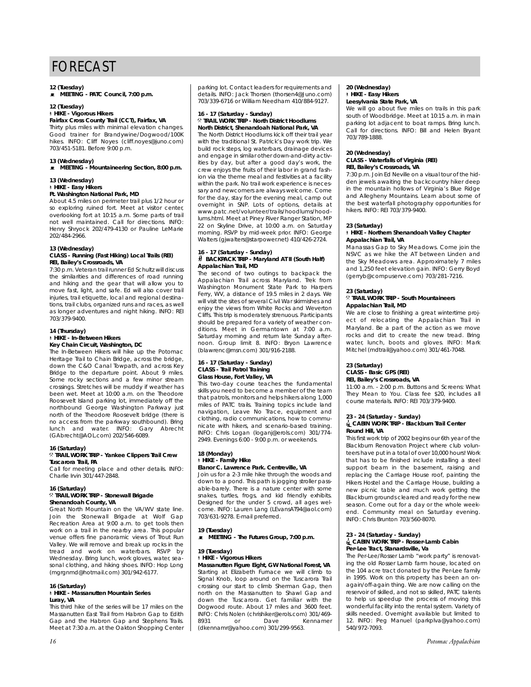#### **12 (Tuesday)**

\ **MEETING - PATC Council, 7:00 p.m.**

#### **12 (Tuesday)**

#### ` **HIKE - Vigorous Hikers**

# **Fairfax Cross County Trail (CCT), Fairfax, VA**

Thirty plus miles with minimal elevation changes. Good trainer for Brandywine/Dogwood/100K hikes. INFO: Cliff Noyes (cliff.noyes@juno.com) 703/451-5181. Before 9:00 p.m.

**13 (Wednesday)** \ **MEETING - Mountaineering Section, 8:00 p.m.**

#### **13 (Wednesday)**

#### ` **HIKE - Easy Hikers**

### **Ft. Washington National Park, MD**

About 4.5 miles on perimeter trail plus 1/2 hour or so exploring ruined fort. Meet at visitor center, overlooking fort at 10:15 a.m. Some parts of trail not well maintained. Call for directions. INFO: Henry Shryock 202/479-4130 or Pauline LeMarie 202/484-2966.

#### **13 (Wednesday)**

#### **CLASS - Running (Fast Hiking) Local Trails (REI) REI, Bailey's Crossroads, VA**

7:30 p.m. Veteran trail runner Ed Schultz will discuss the similarities and differences of road running and hiking and the gear that will allow you to move fast, light, and safe. Ed will also cover trail injuries, trail etiquette, local and regional destinations, trail clubs, organized runs and races, as well as longer adventures and night hiking. INFO: REI 703/379-9400.

### **14 (Thursday)**

#### ` **HIKE - In-Between Hikers Key Chain Circuit, Washington, DC**

The In-Between Hikers will hike up the Potomac Heritage Trail to Chain Bridge, across the bridge, down the C&O Canal Towpath, and across Key Bridge to the departure point. About 9 miles. Some rocky sections and a few minor stream crossings. Stretches will be muddy if weather has been wet. Meet at 10:00 a.m. on the Theodore Roosevelt Island parking lot, immediately off the northbound George Washington Parkway just north of the Theodore Roosevelt bridge (there is no access from the parkway southbound). Bring lunch and water. INFO: Gary Abrecht (GAbrecht@AOL.com) 202/546-6089.

#### **16 (Saturday)** . **TRAIL WORK TRIP - Yankee Clippers Trail Crew Tuscarora Trail, PA**

Call for meeting place and other details. INFO: Charlie Irvin 301/447-2848.

#### **16 (Saturday)** . **TRAIL WORK TRIP - Stonewall Brigade Shenandoah County, VA**

Great North Mountain on the VA/WV state line. Join the Stonewall Brigade at Wolf Gap Recreation Area at 9:00 a.m. to get tools then work on a trail in the nearby area. This popular venue offers fine panoramic views of Trout Run Valley. We will remove and break up rocks in the tread and work on waterbars. RSVP by Wednesday. Bring lunch, work gloves, water, seasonal clothing, and hiking shoes. INFO: Hop Long (mgrgnmd@hotmail.com) 301/942-6177.

#### **16 (Saturday)** ` **HIKE - Massanutten Mountain Series**

# **Luray, VA**

This third hike of the series will be 17 miles on the Massanutten East Trail from Habron Gap to Edith Gap and the Habron Gap and Stephens Trails. Meet at 7:30 a.m. at the Oakton Shopping Center parking lot. Contact leaders for requirements and details. INFO: Jack Thorsen (thorsen4@Juno.com) 703/339-6716 or William Needham 410/884-9127.

#### **16 - 17 (Saturday - Sunday)** . **TRAIL WORK TRIP - North District Hoodlums**

**North District, Shenandoah National Park, VA** The North District Hoodlums kick off their trail year with the traditional St. Patrick's Day work trip. We build rock steps, log waterbars, drainage devices and engage in similar other down-and-dirty activities by day, but after a good day's work, the crew enjoys the fruits of their labor in grand fashion via the theme meal and festivities at a facility within the park. No trail work experience is necessary and newcomers are always welcome. Come for the day, stay for the evening meal, camp out overnight in SNP. Lots of options, details at www.patc.net/volunteer/trails/hoodlums/hoodlums.html. Meet at Piney River Ranger Station, MP 22 on Skyline Drive, at 10:00 a.m. on Saturday morning. RSVP by mid-week prior. INFO: George Walters (gjwalters@starpower.net) 410/426-2724.

#### **16 - 17 (Saturday - Sunday)** ~ **BACKPACK TRIP - Maryland AT II (South Half) Appalachian Trail, MD**

The second of two outings to backpack the Appalachian Trail across Maryland. Trek from Washington Monument State Park to Harpers Ferry, WV, a distance of 19.5 miles in 2 days. We will visit the sites of several Civil War skirmishes and enjoy the views from White Rocks and Weverton Cliffs. This trip is moderately strenuous. Participants should be prepared for a variety of weather conditions. Meet in Germantown at 7:00 a.m. Saturday morning and return late Sunday afternoon. Group limit 8. INFO: Bryon Lawrence (blawrenc@msn.com) 301/916-2188.

#### **16 - 17 (Saturday - Sunday) CLASS - Trail Patrol Training Glass House, Fort Valley, VA**

This two-day course teaches the fundamental skills you need to become a member of the team that patrols, monitors and helps hikers along 1,000 miles of PATC trails. Training topics include land navigation, Leave No Trace, equipment and clothing, radio communications, how to communicate with hikers, and scenario-based training. INFO: Chris Logan (loganj@erols.com) 301/774- 2949. Evenings 6:00 - 9:00 p.m. or weekends.

### **18 (Monday)**  ` **HIKE - Family Hike**

# **Elanor C. Lawrence Park. Centreville, VA**

Join us for a 2-3 mile hike through the woods and down to a pond. This path is jogging stroller passable-barely. There is a nature center with some snakes, turtles, frogs, and kid friendly exhibits. Designed for the under 5 crowd, all ages welcome. INFO: Lauren Lang (LEvansAT94@aol.com) 703/631-9278. E-mail preferred.

#### **19 (Tuesday)**

\ **MEETING - The Futures Group, 7:00 p.m.**

#### **19 (Tuesday)** ` **HIKE - Vigorous Hikers**

**Massanutten Figure Eight, GW National Forest, VA** Starting at Elizabeth Furnace we will climb to Signal Knob, loop around on the Tuscarora Trail crossing our start to climb Sherman Gap, then north on the Massanutten to Shawl Gap and down the Tuscarora. Get familiar with the Dogwood route. About 17 miles and 3600 feet. INFO: Chris Nolen (chrishiker@erols.com) 301/469- 8931 or Dave Kennamer (dkennamr@yahoo.com) 301/299-9563.

#### **20 (Wednesday)** ` **HIKE - Easy Hikers Leesylvania State Park, VA**

We will go about five miles on trails in this park south of Woodbridge. Meet at 10:15 a.m. in main parking lot adjacent to boat ramps. Bring lunch. Call for directions. INFO: Bill and Helen Bryant 703/789-1888.

#### **20 (Wednesday) CLASS - Waterfalls of Virginia (REI) REI, Bailey's Crossroads, VA**

7:30 p.m. Join Ed Neville on a visual tour of the hidden jewels awaiting the backcountry hiker deep in the mountain hollows of Virginia's Blue Ridge and Allegheny Mountains. Learn about some of the best waterfall photography opportunities for hikers. INFO: REI 703/379-9400.

#### **23 (Saturday)**

#### ` **HIKE - Northern Shenandoah Valley Chapter Appalachian Trail, VA**

Manassas Gap to Sky Meadows. Come join the NSVC as we hike the AT between Linden and the Sky Meadows area. Approximately 7 miles and 1,250 feet elevation gain. INFO: Gerry Boyd (gerryb@compuserve.com) 703/281-7216.

#### **23 (Saturday)**

#### . **TRAIL WORK TRIP - South Mountaineers Appalachian Trail, MD**

We are close to finishing a great wintertime project of relocating the Appalachian Trail in Maryland. Be a part of the action as we move rocks and dirt to create the new tread. Bring water, lunch, boots and gloves. INFO: Mark Mitchel (mdtrail@yahoo.com) 301/461-7048.

#### **23 (Saturday) CLASS - Basic GPS (REI) REI, Bailey's Crossroads, VA**

11:00 a.m. - 2:00 p.m. Buttons and Screens: What They Mean to You. Class fee \$20, includes all course materials. INFO: REI 703/379-9400.

#### **23 - 24 (Saturday - Sunday)**

#### i**CABIN WORK TRIP - Blackburn Trail Center Round Hill, VA**

This first work trip of 2002 begins our 6th year of the Blackburn Renovation Project where club volunteers have put in a total of over 10,000 hours! Work that has to be finished include installing a steel support beam in the basement, raising and replacing the Carriage House roof, painting the Hikers Hostel and the Carriage House, building a new picnic table and much work getting the Blackburn grounds cleared and ready for the new season. Come out for a day or the whole weekend. Community meal on Saturday evening. INFO: Chris Brunton 703/560-8070.

#### **23 - 24 (Saturday - Sunday)** i**CABIN WORK TRIP - Rosser-Lamb Cabin Per-Lee Tract, Stanardsville, Va**

The Per-Lee/Rosser Lamb "work party" is renovating the old Rosser Lamb farm house, located on the 104 acre tract donated by the Per-Lee family in 1995. Work on this property has been an onagain/off-again thing. We are now calling on the reservoir of skilled, and not so skilled, PATC talents to help us speedup the process of moving this wonderful facility into the rental system. Variety of skills needed. Overnight available but limited to 12. INFO: Peg Manuel (parkplva@yahoo.com) 540/972-7093.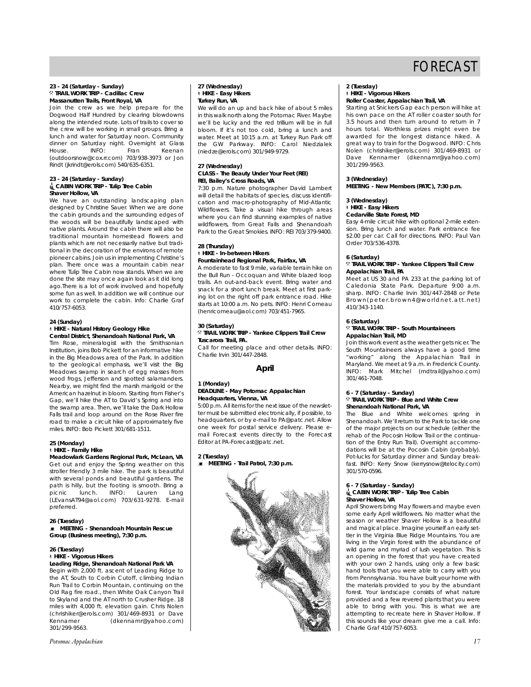#### **23 - 24 (Saturday - Sunday)** . **TRAIL WORK TRIP - Cadillac Crew Massanutten Trails, Front Royal, VA**

Join the crew as we help prepare for the Dogwood Half Hundred by clearing blowdowns along the intended route. Lots of trails to cover so the crew will be working in small groups. Bring a lunch and water for Saturday noon. Community dinner on Saturday night. Overnight at Glass House. INFO: Fran Keenan (outdoorsnow@cox.rr.com) 703/938-3973 or Jon Rindt (jkrindt@erols.com) 540/635-6351.

# **23 - 24 (Saturday - Sunday)** i**CABIN WORK TRIP - Tulip Tree Cabin Shaver Hollow, VA**

We have an outstanding landscaping plan designed by Christine Sauer. When we are done the cabin grounds and the surrounding edges of the woods will be beautifully landscaped with native plants. Around the cabin there will also be traditional mountain homestead flowers and plants which are not necessarily native but traditional in the decoration of the environs of remote pioneer cabins. Join us in implementing Christine's plan. There once was a mountain cabin near where Tulip Tree Cabin now stands. When we are done the site may once again look as it did long ago.There is a lot of work involved and hopefully some fun as well. In addition we will continue our work to complete the cabin. Info: Charlie Graf 410/757-6053.

#### **24 (Sunday)**

#### ` **HIKE - Natural History Geology Hike Central District, Shenandoah National Park, VA**

Tim Rose, mineralogist with the Smithsonian Institution, joins Bob Pickett for an informative hike in the Big Meadows area of the Park. In addition to the geological emphasis, we'll visit the Big Meadows swamp in search of egg masses from wood frogs, Jefferson and spotted salamanders. Nearby, we might find the marsh marigold or the American hazelnut in bloom. Starting from Fisher's Gap, we'll hike the AT to David's Spring and into the swamp area. Then, we'll take the Dark Hollow Falls trail and loop around on the Rose River fire road to make a circuit hike of approximately five miles. INFO: Bob Pickett 301/681-1511.

#### **25 (Monday)** ` **HIKE - Family Hike**

**Meadowlark Gardens Regional Park, McLean, VA** Get out and enjoy the Spring weather on this stroller friendly 3 mile hike. The park is beautiful with several ponds and beautiful gardens. The path is hilly, but the footing is smooth. Bring a picnic lunch. INFO: Lauren Lang picnic lunch. INFO: Lauren Lang (LEvansAT94@aol.com) 703/631-9278. E-mail preferred.

#### **26 (Tuesday)** \ **MEETING - Shenandoah Mountain Rescue Group (Business meeting), 7:30 p.m.**

#### **26 (Tuesday)** ` **HIKE - Vigorous Hikers Leading Ridge, Shenandoah National Park VA**

Begin with 2,000 ft. ascent of Leading Ridge to the AT, South to Corbin Cutoff, climbing Indian Run Trail to Corbin Mountain, continuing on the Old Rag fire road., then White Oak Canyon Trail to Skyland and the AT north to Crusher Ridge. 18 miles with 4,000 ft. elevation gain. Chris Nolen (chrishiker@erols.com) 301/469-8931 or Dave Kennamer (dkennamr@yahoo.com) 301/299-9563.

#### *Potomac Appalachian 17*

#### **27 (Wednesday)** ` **HIKE - Easy Hikers Turkey Run, VA**

We will do an up and back hike of about 5 miles in this walk north along the Potomac River. Maybe we'll be lucky and the red trillium will be in full bloom. If it's not too cold, bring a lunch and water. Meet at 10:15 a.m. at Turkey Run Park off the GW Parkway. INFO: Carol Niedzialek (niedze@erols.com) 301/949-9729.

#### **27 (Wednesday) CLASS - The Beauty Under Your Feet (REI) REI, Bailey's Cross Roads, VA**

7:30 p.m. Nature photographer David Lambert will detail the habitats of species, discuss identification and macro-photography of Mid-Atlantic Wildflowers. Take a visual hike through areas where you can find stunning examples of native wildflowers, from Great Falls and Shenandoah Park to the Great Smokies. INFO: REI 703/379-9400.

#### **28 (Thursday)** ` **HIKE - In-between Hikers Fountainhead Regional Park, Fairfax, VA**

A moderate to fast 9 mile, variable terrain hike on the Bull Run - Occoquan and White blazed loop trails. An out-and-back event. Bring water and snack for a short lunch break. Meet at first parking lot on the right off park entrance road. Hike starts at 10:00 a.m. No pets. INFO: Henri Comeau (henricomeau@aol.com) 703/451-7965.

#### **30 (Saturday)** . **TRAIL WORK TRIP - Yankee Clippers Trail Crew Tuscarora Trail, PA.**

Call for meeting place and other details. INFO: Charlie Irvin 301/447-2848.

### **April**

### **1 (Monday)**

#### **DEADLINE - May** *Potomac Appalachian* **Headquarters, Vienna, VA**

5:00 p.m. All items for the next issue of the newsletter must be submitted electronically, if possible, to headquarters, or by e-mail to PA@patc.net. Allow one week for postal service delivery. Please email Forecast events directly to the Forecast Editor at PA-Forecast@patc.net.

### **2 (Tuesday)**

 $\bullet$  MEETING - Trail Patrol, 7:30 p.m.



# **2 (Tuesday)** ` **HIKE - Vigorous Hikers**

#### **Roller Coaster, Appalachian Trail, VA** Starting at Snickers Gap each person will hike at

his own pace on the AT roller coaster south for 3.5 hours and then turn around to return in 7 hours total. Worthless prizes might even be awarded for the longest distance hiked. A great way to train for the Dogwood. INFO: Chris Nolen (chrishiker@erols.com) 301/469-8931 or Dave Kennamer (dkennamr@yahoo.com) 301/299-9563.

### **3 (Wednesday)**

# **MEETING - New Members (PATC), 7:30 p.m.**

# **3 (Wednesday)**

### ` **HIKE - Easy Hikers**

### **Cedarville State Forest, MD**

Easy 4-mile circuit hike with optional 2-mile extension. Bring lunch and water. Park entrance fee \$2.00 per car. Call for directions. INFO: Paul Van Order 703/536-4378.

#### **6 (Saturday)**

#### . **TRAIL WORK TRIP - Yankee Clippers Trail Crew Appalachian Trail, PA**

Meet at US 30 and PA 233 at the parking lot of Caledonia State Park. Departure 9:00 a.m. sharp. INFO: Charlie Irvin 301/447-2848 or Pete Brown(peter.brown4@worldnet.att.net) 410/343-1140.

#### **6 (Saturday)**

#### . **TRAIL WORK TRIP - South Mountaineers Appalachian Trail, MD**

Join this work event as the weather gets nicer. The South Mountaineers always have a good time "working" along the Appalachian Trail in Maryland. We meet at 9 a.m. in Frederick County. INFO: Mark Mitchel (mdtrail@yahoo.com) 301/461-7048.

#### **6 - 7 (Saturday - Sunday)** . **TRAIL WORK TRIP - Blue and White Crew Shenandoah National Park, VA**

The Blue and White welcomes spring in Shenandoah. We'll return to the Park to tackle one of the major projects on our schedule (either the rehab of the Pocosin Hollow Trail or the continuation of the Entry Run Trail). Overnight accommodations will be at the Pocosin Cabin (probably). Pot-lucks for Saturday dinner and Sunday breakfast. INFO: Kerry Snow (kerrysnow@telocity.com) 301/570-0596.

#### **6 - 7 (Saturday - Sunday)** i**CABIN WORK TRIP - Tulip Tree Cabin Shaver Hollow, VA**

April Showers bring May flowers and maybe even some early April wildflowers. No matter what the season or weather Shaver Hollow is a beautiful and magical place. Imagine yourself an early settler in the Virginia Blue Ridge Mountains. You are living in the Virgin forest with the abundance of wild game and myriad of lush vegetation. This is an opening in the forest that you have created with your own 2 hands, using only a few basic hand tools that you were able to carry with you from Pennsylvania. You have built your home with the materials provided to you by the abundant forest. Your landscape consists of what nature provided and a few revered plants that you were able to bring with you. This is what we are attempting to recreate here in Shaver Hollow. If this sounds like your dream give me a call. Info: Charlie Graf 410/757-6053.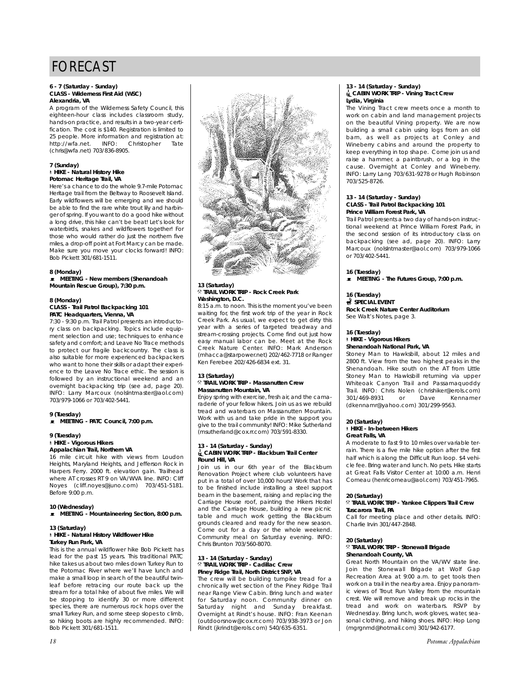#### **6 - 7 (Saturday - Sunday) CLASS - Wilderness First Aid (WSC) Alexandria, VA**

A program of the Wilderness Safety Council, this eighteen-hour class includes classroom study, hands-on practice, and results in a two-year certification. The cost is \$140. Registration is limited to 25 people. More information and registration at: http://wfa.net. INFO: Christopher Tate (chris@wfa.net) 703/836-8905.

#### **7 (Sunday)** ` **HIKE - Natural History Hike Potomac Heritage Trail, VA**

Here's a chance to do the whole 9.7-mile Potomac Heritage trail from the Beltway to Roosevelt Island. Early wildflowers will be emerging and we should be able to find the rare white trout lily and harbinger of spring. If you want to do a good hike without a long drive, this hike can't be beat! Let's look for waterbirds, snakes and wildflowers together! For those who would rather do just the northern five miles, a drop-off point at Fort Marcy can be made. Make sure you move your clocks forward! INFO: Bob Pickett 301/681-1511.

#### **8 (Monday)**

\ **MEETING - New members (Shenandoah Mountain Rescue Group), 7:30 p.m.**

#### **8 (Monday) CLASS - Trail Patrol Backpacking 101 PATC Headquarters, Vienna, VA**

7:30 - 9:30 p.m. Trail Patrol presents an introductory class on backpacking. Topics include equipment selection and use; techniques to enhance safety and comfort; and Leave No Trace methods to protect our fragile backcountry. The class is also suitable for more experienced backpackers who want to hone their skills or adapt their experience to the Leave No Trace ethic. The session is followed by an instructional weekend and an overnight backpacking trip (see ad, page 20). INFO: Larry Marcoux (nolslntmaster@aol.com) 703/979-1066 or 703/402-5441.

### **9 (Tuesday)**

 $\bullet$  MEETING - PATC Council, 7:00 p.m.

#### **9 (Tuesday)**

# ` **HIKE - Vigorous Hikers**

**Appalachian Trail, Northern VA** 16 mile circuit hike with views from Loudon Heights, Maryland Heights, and Jefferson Rock in Harpers Ferry. 2000 ft. elevation gain. Trailhead where AT crosses RT 9 on VA/WVA line. INFO: Cliff Noyes (cliff.noyes@juno.com) 703/451-5181. Before 9:00 p.m.

#### **10 (Wednesday)** ■ MEETING - Mountaineering Section, 8:00 p.m.

#### **13 (Saturday)** ` **HIKE - Natural History Wildflower Hike Turkey Run Park, VA**

This is the annual wildflower hike Bob Pickett has lead for the past 15 years. This traditional PATC hike takes us about two miles down Turkey Run to the Potomac River where we'll have lunch and make a small loop in search of the beautiful twinleaf before retracing our route back up the stream for a total hike of about five miles. We will be stopping to identify 30 or more different species, there are numerous rock hops over the small Turkey Run, and some steep slopes to climb, so hiking boots are highly recommended. INFO: Bob Pickett 301/681-1511.



## **13 (Saturday)** . **TRAIL WORK TRIP - Rock Creek Park Washington, D.C.**

8:15 a.m. to noon. This is the moment you've been waiting for, the first work trip of the year in Rock Creek Park. As usual, we expect to get dirty this year with a series of targeted treadway and stream-crossing projects. Come find out just how easy manual labor can be. Meet at the Rock Creek Nature Center. INFO: Mark Anderson (mhacca@starpower.net) 202/462-7718 or Ranger Ken Ferebee 202/426-6834 ext. 31.

#### **13 (Saturday)** . **TRAIL WORK TRIP - Massanutten Crew Massanutten Mountain, VA**

Enjoy spring with exercise, fresh air, and the camaraderie of your fellow hikers. Join us as we rebuild tread and waterbars on Massanutten Mountain. Work with us and take pride in the support you give to the trail community! INFO: Mike Sutherland (msutherland@cox.rr.com) 703/591-8330.

#### **13 - 14 (Saturday - Sunday)** i**CABIN WORK TRIP - Blackburn Trail Center Round Hill, VA**

Join us in our 6th year of the Blackburn Renovation Project where club volunteers have put in a total of over 10,000 hours! Work that has to be finished include installing a steel support beam in the basement, raising and replacing the Carriage House roof, painting the Hikers Hostel and the Carriage House, building a new picnic table and much work getting the Blackburn grounds cleared and ready for the new season. Come out for a day or the whole weekend. Community meal on Saturday evening. INFO: Chris Brunton 703/560-8070.

# **13 - 14 (Saturday - Sunday)** . **TRAIL WORK TRIP - Cadillac Crew Piney Ridge Trail, North District SNP, VA**

The crew will be building turnpike tread for a chronically wet section of the Piney Ridge Trail near Range View Cabin. Bring lunch and water for Saturday noon. Community dinner on Saturday night and Sunday breakfast. Overnight at Rindt's house. INFO: Fran Keenan (outdoorsnow@cox.rr.com) 703/938-3973 or Jon Rindt (jkrindt@erols.com) 540/635-6351.

#### **13 - 14 (Saturday - Sunday)** i**CABIN WORK TRIP - Vining Tract Crew Lydia, Virginia**

The Vining Tract crew meets once a month to work on cabin and land management projects on the beautiful Vining property. We are now building a small cabin using logs from an old barn, as well as projects at Conley and Wineberry cabins and around the property to keep everything in top shape. Come join us and raise a hammer, a paintbrush, or a log in the cause. Overnight at Conley and Wineberry. INFO: Larry Lang 703/631-9278 or Hugh Robinson 703/525-8726.

#### **13 - 14 (Saturday - Sunday) CLASS - Trail Patrol Backpacking 101 Prince William Forest Park, VA**

Trail Patrol presents a two day of hands-on instructional weekend at Prince William Forest Park, in the second session of its introductory class on backpacking (see ad, page 20). INFO: Larry Marcoux (nolslntmaster@aol.com) 703/979-1066 or 703/402-5441.

**16 (Tuesday)**

**E** MEETING - The Futures Group, 7:00 p.m.

#### **16 (Tuesday)**

#### **SPECIAL EVENT Rock Creek Nature Center Auditorium** See Walt's Notes, page 3.

**16 (Tuesday)**

### ` **HIKE - Vigorous Hikers**

**Shenandoah National Park, VA**

Stoney Man to Hawksbill, about 12 miles and 2800 ft. View from the two highest peaks in the Shenandoah. Hike south on the AT from Little Stoney Man to Hawksbill returning via upper Whiteoak Canyon Trail and Passamaquoddy Trail. INFO: Chris Nolen (chrishiker@erols.com) 301/469-8931 or Dave Kennamer (dkennamr@yahoo.com) 301/299-9563.

#### **20 (Saturday)** ` **HIKE - In-between Hikers Great Falls, VA**

A moderate to fast 9 to 10 miles over variable terrain. There is a five mile hike option after the first half which is along the Difficult Run loop. \$4 vehicle fee. Bring water and lunch. No pets. Hike starts at Great Falls Visitor Center at 10:00 a.m. Henri Comeau (henricomeau@aol.com) 703/451-7965.

### **20 (Saturday)**

#### . **TRAIL WORK TRIP - Yankee Clippers Trail Crew Tuscarora Trail, PA**

Call for meeting place and other details. INFO: Charlie Irvin 301/447-2848.

#### **20 (Saturday)** . **TRAIL WORK TRIP - Stonewall Brigade Shenandoah County, VA**

Great North Mountain on the VA/WV state line. Join the Stonewall Brigade at Wolf Gap Recreation Area at 9:00 a.m. to get tools then work on a trail in the nearby area. Enjoy panoramic views of Trout Run Valley from the mountain crest. We will remove and break up rocks in the tread and work on waterbars. RSVP by Wednesday. Bring lunch, work gloves, water, seasonal clothing, and hiking shoes. INFO: Hop Long (mgrgnmd@hotmail.com) 301/942-6177.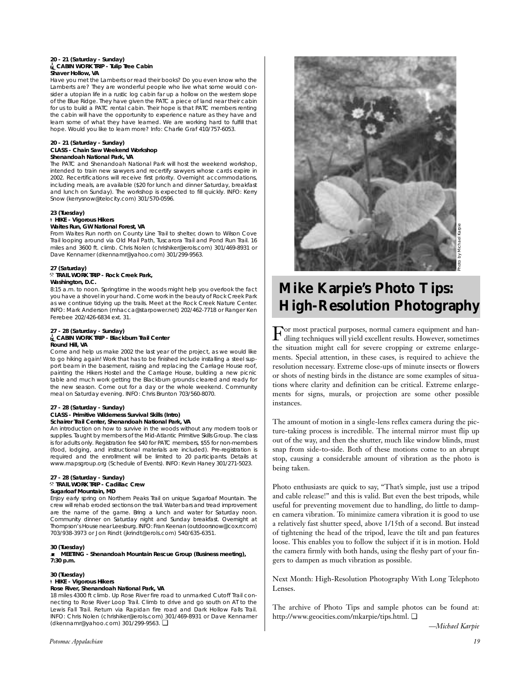#### **20 - 21 (Saturday - Sunday)** i**CABIN WORK TRIP - Tulip Tree Cabin Shaver Hollow, VA**

Have you met the Lamberts or read their books? Do you even know who the Lamberts are? They are wonderful people who live what some would consider a utopian life in a rustic log cabin far up a hollow on the western slope of the Blue Ridge. They have given the PATC a piece of land near their cabin for us to build a PATC rental cabin. Their hope is that PATC members renting the cabin will have the opportunity to experience nature as they have and learn some of what they have learned. We are working hard to fulfill that hope. Would you like to learn more? Info: Charlie Graf 410/757-6053.

#### **20 - 21 (Saturday - Sunday) CLASS - Chain Saw Weekend Workshop Shenandoah National Park, VA**

The PATC and Shenandoah National Park will host the weekend workshop, intended to train new sawyers and recertify sawyers whose cards expire in 2002. Recertifications will receive first priority. Overnight accommodations, including meals, are available (\$20 for lunch and dinner Saturday, breakfast and lunch on Sunday). The workshop is expected to fill quickly. INFO: Kerry Snow (kerrysnow@telocity.com) 301/570-0596.

#### **23 (Tuesday)** ` **HIKE - Vigorous Hikers Waites Run, GW National Forest, VA**

From Waites Run north on County Line Trail to shelter, down to Wilson Cove Trail looping around via Old Mail Path, Tuscarora Trail and Pond Run Trail. 16 miles and 3600 ft. climb. Chris Nolen (chrishiker@erols.com) 301/469-8931 or Dave Kennamer (dkennamr@yahoo.com) 301/299-9563.

#### **27 (Saturday)** . **TRAIL WORK TRIP - Rock Creek Park, Washington, D.C.**

8:15 a.m. to noon. Springtime in the woods might help you overlook the fact you have a shovel in your hand. Come work in the beauty of Rock Creek Park as we continue tidying up the trails. Meet at the Rock Creek Nature Center. INFO: Mark Anderson (mhacca@starpower.net) 202/462-7718 or Ranger Ken Ferebee 202/426-6834 ext. 31.

#### **27 - 28 (Saturday - Sunday)** i**CABIN WORK TRIP - Blackburn Trail Center Round Hill, VA**

Come and help us make 2002 the last year of the project, as we would like to go hiking again! Work that has to be finished include installing a steel support beam in the basement, raising and replacing the Carriage House roof, painting the Hikers Hostel and the Carriage House, building a new picnic table and much work getting the Blackburn grounds cleared and ready for the new season. Come out for a day or the whole weekend. Community meal on Saturday evening. INFO: Chris Brunton 703/560-8070.

#### **27 - 28 (Saturday - Sunday) CLASS - Primitive Wilderness Survival Skills (Intro)**

#### **Schairer Trail Center, Shenandoah National Park, VA**

An introduction on how to survive in the woods without any modern tools or supplies. Taught by members of the Mid-Atlantic Primitive Skills Group. The class is for adults only. Registration fee \$40 for PATC members, \$55 for non-members (food, lodging, and instructional materials are included). Pre-registration is required and the enrollment will be limited to 20 participants. Details at www.mapsgroup.org (Schedule of Events). INFO: Kevin Haney 301/271-5023.

#### **27 - 28 (Saturday - Sunday)** . **TRAIL WORK TRIP - Cadillac Crew Sugarloaf Mountain, MD**

Enjoy early spring on Northern Peaks Trail on unique Sugarloaf Mountain. The crew will rehab eroded sections on the trail. Water bars and tread improvement are the name of the game. Bring a lunch and water for Saturday noon. Community dinner on Saturday night and Sunday breakfast. Overnight at Thompson's House near Leesburg. INFO: Fran Keenan (outdoorsnow@cox.rr.com) 703/938-3973 or Jon Rindt (jkrindt@erols.com) 540/635-6351.

#### **30 (Tuesday)**

#### \ **MEETING - Shenandoah Mountain Rescue Group (Business meeting), 7:30 p.m.**

#### **30 (Tuesday)**

#### ` **HIKE - Vigorous Hikers Rose River, Shenandoah National Park, VA**

18 miles 4300 ft climb. Up Rose River fire road to unmarked Cutoff Trail connecting to Rose River Loop Trail. Climb to drive and go south on AT to the Lewis Fall Trail. Return via Rapidan fire road and Dark Hollow Falls Trail. INFO: Chris Nolen (chrishiker@erols.com) 301/469-8931 or Dave Kennamer (dkennamr@yahoo.com) 301/299-9563. ❏



# **Mike Karpie's Photo Tips: High-Resolution Photography**

For most practical purposes, normal camera equipment and han-dling techniques will yield excellent results. However, sometimes the situation might call for severe cropping or extreme enlargements. Special attention, in these cases, is required to achieve the resolution necessary. Extreme close-ups of minute insects or flowers or shots of nesting birds in the distance are some examples of situations where clarity and definition can be critical. Extreme enlargements for signs, murals, or projection are some other possible instances.

The amount of motion in a single-lens reflex camera during the picture-taking process is incredible. The internal mirror must flip up out of the way, and then the shutter, much like window blinds, must snap from side-to-side. Both of these motions come to an abrupt stop, causing a considerable amount of vibration as the photo is being taken.

Photo enthusiasts are quick to say, "That's simple, just use a tripod and cable release!" and this is valid. But even the best tripods, while useful for preventing movement due to handling, do little to dampen camera vibration. To minimize camera vibration it is good to use a relatively fast shutter speed, above 1/15th of a second. But instead of tightening the head of the tripod, leave the tilt and pan features loose. This enables you to follow the subject if it is in motion. Hold the camera firmly with both hands, using the fleshy part of your fingers to dampen as much vibration as possible.

Next Month: High-Resolution Photography With Long Telephoto Lenses.

The archive of Photo Tips and sample photos can be found at: http://www.geocities.com/mkarpie/tips.html. ❏

*—Michael Karpie*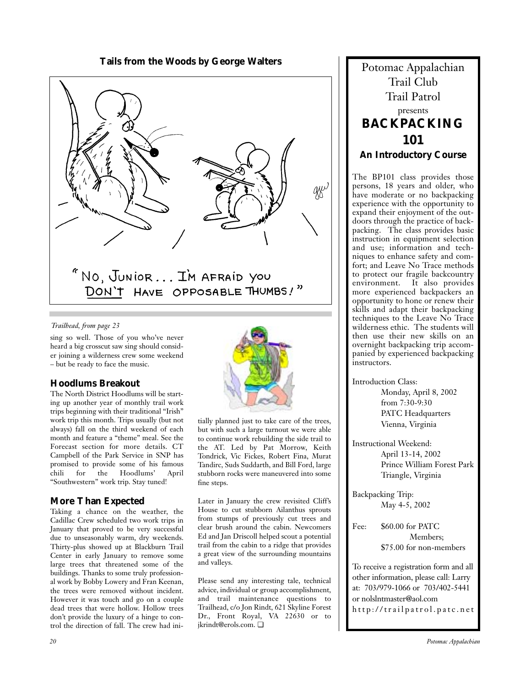# Tails from the Woods by George Walters **Potomac Appalachian**



### *Trailhead, from page 23*

sing so well. Those of you who've never heard a big crosscut saw sing should consider joining a wilderness crew some weekend – but be ready to face the music.

# **Hoodlums Breakout**

The North District Hoodlums will be starting up another year of monthly trail work trips beginning with their traditional "Irish" work trip this month. Trips usually (but not always) fall on the third weekend of each month and feature a "theme" meal. See the Forecast section for more details. CT Campbell of the Park Service in SNP has promised to provide some of his famous<br>chili for the Hoodlums' April for the Hoodlums' April "Southwestern" work trip. Stay tuned!

# **More Than Expected**

Taking a chance on the weather, the Cadillac Crew scheduled two work trips in January that proved to be very successful due to unseasonably warm, dry weekends. Thirty-plus showed up at Blackburn Trail Center in early January to remove some large trees that threatened some of the buildings. Thanks to some truly professional work by Bobby Lowery and Fran Keenan, the trees were removed without incident. However it was touch and go on a couple dead trees that were hollow. Hollow trees don't provide the luxury of a hinge to control the direction of fall. The crew had ini-



tially planned just to take care of the trees, but with such a large turnout we were able to continue work rebuilding the side trail to the AT. Led by Pat Morrow, Keith Tondrick, Vic Fickes, Robert Fina, Murat Tandirc, Suds Suddarth, and Bill Ford, large stubborn rocks were maneuvered into some fine steps.

Later in January the crew revisited Cliff's House to cut stubborn Ailanthus sprouts from stumps of previously cut trees and clear brush around the cabin. Newcomers Ed and Jan Driscoll helped scout a potential trail from the cabin to a ridge that provides a great view of the surrounding mountains and valleys.

Please send any interesting tale, technical advice, individual or group accomplishment, and trail maintenance questions to Trailhead, c/o Jon Rindt, 621 Skyline Forest Dr., Front Royal, VA 22630 or to jkrindt@erols.com. ❏

Trail Club Trail Patrol presents **BACKPACKING 101 An Introductory Course**

The BP101 class provides those persons, 18 years and older, who have moderate or no backpacking experience with the opportunity to expand their enjoyment of the outdoors through the practice of backpacking. The class provides basic instruction in equipment selection and use; information and techniques to enhance safety and comfort; and Leave No Trace methods to protect our fragile backcountry environment. It also provides more experienced backpackers an opportunity to hone or renew their skills and adapt their backpacking techniques to the Leave No Trace wilderness ethic. The students will then use their new skills on an overnight backpacking trip accompanied by experienced backpacking instructors.

Introduction Class:

Monday, April 8, 2002 from 7:30-9:30 PATC Headquarters Vienna, Virginia

Instructional Weekend: April 13-14, 2002 Prince William Forest Park Triangle, Virginia

Backpacking Trip: May 4-5, 2002

Fee: \$60.00 for PATC Members; \$75.00 for non-members

To receive a registration form and all other information, please call: Larry at: 703/979-1066 or 703/402-5441 or nolslntmaster@aol.com http://trailpatrol.patc.net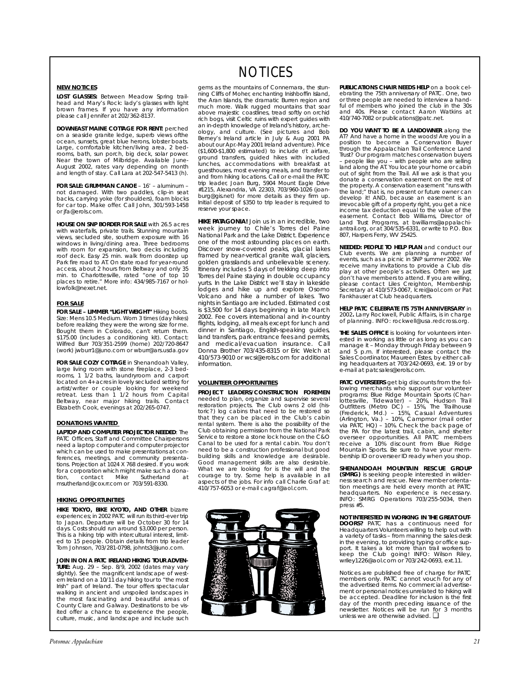#### **NEW NOTICES**

**LOST GLASSES:** Between Meadow Spring trailhead and Mary's Rock: lady's glasses with light brown frames. If you have any information please call Jennifer at 202/362-8137.

**DOWNEAST MAINE COTTAGE FOR RENT:** perched on a seaside granite ledge, superb views ofthe ocean, sunsets, great blue herons, lobster boats. Large, comfortable kitchen/living area, 2 bedrooms, bath, sun porch, big deck, solar power. Near the town of Milbridge. Available June-August 2002, rates vary depending on month and length of stay. Call Lara at 202-547-5413 (h).

**FOR SALE: GRUMMAN CANOE** – 16' – aluminum – not damaged. With two paddles, clip-in seat backs, carrying yoke (for shoulders), foam blocks for car top. Make offer. Call John, 301/593-1458 or jfa@erols.com.

**HOUSE ON SNP BORDER FOR SALE** with 26.5 acres with waterfalls, private trails. Stunning mountain views, secluded site, southern exposure with 16 windows in living/dining area. Three bedrooms with room for expansion, two decks including roof deck. Easy 25 min. walk from doorstep up Park fire road to AT. On state road for year-round access, about 2 hours from Beltway and only 35 min. to Charlottesville, rated "one of top 10 places to retire." More info: 434/985-7167 or hollowfolk@nexet.net.

#### **FOR SALE**

**FOR SALE – LIMMER "LIGHT WEIGHT"** Hiking boots. Size: Mens 10.5 Medium. Worn 3 times (day hikes) before realizing they were the wrong size for me. Bought them in Colorado, can't return them. \$175.00 (includes a conditioning kit). Contact: Wilfred Burr 703/351-2599 (home) 202/720-8647 (work) jwburr1@juno.com or wburr@ars.usda.gov

**FOR SALE COZY COTTAGE** in Shenandoah Valley, large living room with stone fireplace, 2-3 bedrooms, 1 1/2 baths, laundryroom and carport located on 4+ acres in lovely secluded setting for artist/writer or couple looking for weekend retreat. Less than 1 1/2 hours from Capital Beltway, near major hiking trails. Contact Elizabeth Cook, evenings at 202/265-0747.

#### **DONATIONS WANTED**

**LAPTOP AND COMPUTER PROJECTOR NEEDED**: The PATC Officers, Staff and Committee Chairpersons need a laptop computer and computer projector which can be used to make presentations at conferences, meetings, and community presentations. Projection at 1024 X 768 desired. If you work for a corporation which might make such a donation, contact Mike Sutherland at msutherland@cox.rr.com or 703/591-8330.

#### **HIKING OPPORTUNITIES**

**HIKE TOKYO, BIKE KYOTO, AND OTHER** bizarre experiences; in 2002 PATC will run its third-ever trip to Japan. Departure will be October 30 for 14 days. Costs should run around \$3,000 per person. This is a hiking trip with intercultural interest, limited to 15 people. Obtain details from trip leader Tom Johnson, 703/281-0798, johnts3@juno.com.

**JOIN IN ON A PATC IRELAND HIKING TOUR ADVEN-TURE:** Aug. 29 – Sep. 8/9, 2002 (dates may vary slightly). See the magnificent landscape of west-ern Ireland on a 10/11 day hiking tour to "the most Irish" part of Ireland. The tour offers spectacular walking in ancient and unspoiled landscapes in the most fascinating and beautiful areas of County Clare and Galway. Destinations to be visited offer a chance to experience the people, culture, music, and landscape and include such

# NOTICES

gems as the mountains of Connemara, the stunning Cliffs of Moher, enchanting Inishboffin Island, the Aran Islands, the dramatic Burren region and much more. Walk rugged mountains that soar above majestic coastlines, tread softly on orchid rich bogs, visit Celtic ruins with expert guides with an in-depth knowledge of Ireland's history, archeology, and culture. (See pictures and Bob Berney's Ireland article in July & Aug 2001 *PA* about our Apr.-May 2001 Ireland adventure). Price (\$1,600-\$1,800 estimated) to include r/t airfare, ground transfers, guided hikes with included lunches, accommodations with breakfast at guesthouses, most evening meals, and transfer to and from hiking locations. Call or e-mail the PATC trip leader, Joan Burg, 5904 Mount Eagle Drive #1215, Alexandria, VA 22303, 703/960-1026 (joanburg@gis.net) for more details as they firm up. Initial deposit of \$350 to trip leader is required to reserve your space.

**HIKE PATAGONIA!** Join us in an incredible, two week journey to Chile's Torres del Paine National Park and the Lake District. Experience one of the most astounding places on earth. Discover snow-covered peaks, glacial lakes framed by near-vertical granite wall, glaciers, golden grasslands and unbelievable scenery. Itinerary includes 5 days of trekking deep into Torres del Paine staying in double occupancy yurts. In the Lake District we'll stay in lakeside lodges and hike up and explore Osorno Volcano and hike a number of lakes. Two nights in Santiago are included. Estimated cost is \$3,500 for 14 days beginning in late March 2002. Fee covers international and in-country flights, lodging, all meals except for lunch and dinner in Santiago, English-speaking guides, land transfers, park entrance fees and permits, and medical/evacuation insurance. Call Donna Brother 703/435-8315 or Eric Welch at 410/573-9010 or wcsi@erols.com for additional information.

### **VOLUNTEER OPPORTUNITIES**

**PROJECT LEADERS/CONSTRUCTION FOREMEN** needed to plan, organize and supervise several restoration projects. The Club owns 2 old (historic?) log cabins that need to be restored so that they can be placed in the Club's cabin rental system. There is also the possibility of the Club obtaining permission from the National Park Service to restore a stone lock house on the C&O Canal to be used for a rental cabin. You don't need to be a construction professional but good building skills and knowledge are desirable. Good management skills are also desirable. What we are looking for is the will and the courage to try. Some help is available in all aspects of the jobs. For info call Charlie Graf at: 410/757-6053 or e-mail cagraf@aol.com.



**PUBLICATIONS CHAIR NEEDS HELP** on a book celebrating the 75th anniversary of PATC. One, two or three people are needed to interview a handful of members who joined the club in the 30s and 40s. Please contact Aaron Watkins at 410/740-7082 or publications@patc.net.

**DO YOU WANT TO BE A LANDOWNER** along the AT? And have a home in the woods! Are you in a position to become a Conservation Buyer through the Appalachian Trail Conference Land Trust? Our program matches conservation buyers – people like you – with people who are selling land along the AT. You locate your home or cabin out of sight from the Trail. All we ask is that you donate a conservation easement on the rest of the property. A conservation easement "runs with the land;" that is, no present or future owner can develop it! AND, because an easement is an irrevocable gift of a property right, you get a nice income tax deduction equal to the value of the easement. Contact Bob Williams, Director of Land Trust Programs, at bwilliams@appalachiantrail.org, or at 304/535-6331, or write to P.O. Box 807, Harpers Ferry, WV 25425.

**NEEDED: PEOPLE TO HELP PLAN** and conduct our Club events. We are planning a number of events, such as a picnic in SNP summer 2002. We receive many invitations to provide a Club display at other people's activities. Often we just don't have members to attend. If you are willing, please contact Liles Creighton, Membership Secretary at 410/573-0067, lcrei@aol.com or Pat Fankhauser at Club headquarters.

**HELP PATC CELEBRATE ITS 75TH ANNIVERSARY** in 2002**.** Larry Rockwell, Public Affairs, is in charge of planning. INFO: rockwell@usa.redcross.org.

**THE SALES OFFICE** is looking for volunteers interested in working as little or as long as you can manage it – Monday through Friday between 9 and 5 p.m. If interested, please contact the Sales Coordinator, Maureen Estes, by either call-ing headquarters at 703/242-0693, ext. 19 or by e-mail at patcsales@erols.com.

**PATC OVERSEERS** get big discounts from the following merchants who support our volunteer<br>programs: Blue Ridge Mountain Sports (Char-<br>lottesville, Tidewater) - 20%, Hudson Trail<br>Outfitters (Metro DC) - 15%, The Trailhouse<br>(Frederick, Md.) - 15%, Casual Adventures<br>(Arli via PATC HQ) – 10%. Check the back page of the *PA* for the latest trail, cabin, and shelter overseer opportunities. All PATC members receive a 10% discount from Blue Ridge Mountain Sports. Be sure to have your mem-bership ID or overseer ID ready when you shop.

**SHENANDOAH MOUNTAIN RESCUE GROUP (SMRG)** is seeking people interested in wilderness search and rescue. New member orientation meetings are held every month at PATC headquarters. No experience is necessary. INFO: SMRG Operations 703/255-5034, then press #5.

**NOT INTERESTED IN WORKING IN THE GREAT OUT-DOORS?** PATC has a continuous need for Headquarters Volunteers willing to help out with a variety of tasks – from manning the sales desk in the evening, to providing typing or office support. It takes a lot more than trail workers to keep the Club going! INFO: Wilson Riley, wriley1226@aol.com or 703/242-0693, ext.11.

*Notices are published free of charge for PATC members only. PATC cannot vouch for any of the advertised items. No commercial advertisement or personal notices unrelated to hiking will be accepted. Deadline for inclusion is the first day of the month preceding issuance of the newsletter. Notices will be run for 3 months unless we are otherwise advised.* ❏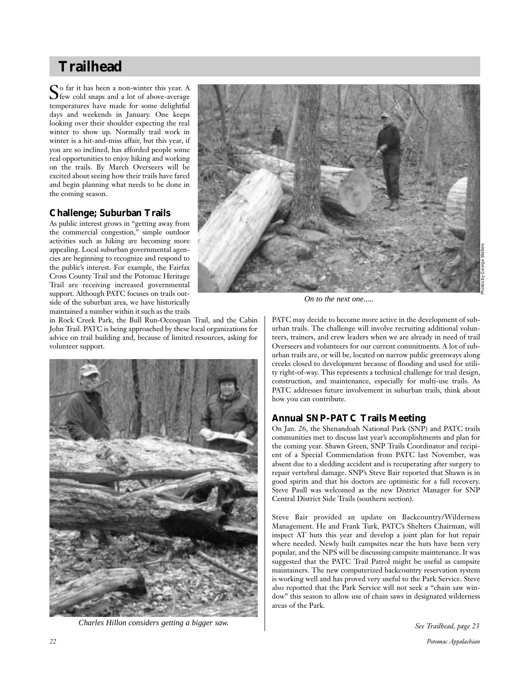# **Trailhead**

So far it has been a non-winter this year. A few cold snaps and a lot of above-average temperatures have made for some delightful days and weekends in January. One keeps looking over their shoulder expecting the real winter to show up. Normally trail work in winter is a hit-and-miss affair, but this year, if you are so inclined, has afforded people some real opportunities to enjoy hiking and working on the trails. By March Overseers will be excited about seeing how their trails have fared and begin planning what needs to be done in the coming season.

# **Challenge; Suburban Trails**

As public interest grows in "getting away from the commercial congestion," simple outdoor activities such as hiking are becoming more appealing. Local suburban governmental agencies are beginning to recognize and respond to the public's interest. For example, the Fairfax Cross County Trail and the Potomac Heritage Trail are receiving increased governmental support. Although PATC focuses on trails outside of the suburban area, we have historically maintained a number within it such as the trails



*On to the next one.....*

in Rock Creek Park, the Bull Run-Occoquan Trail, and the Cabin John Trail. PATC is being approached by these local organizations for advice on trail building and, because of limited resources, asking for volunteer support.



*See Trailhead, page 23 Charles Hillon considers getting a bigger saw.*

PATC may decide to become more active in the development of suburban trails. The challenge will involve recruiting additional volunteers, trainers, and crew leaders when we are already in need of trail Overseers and volunteers for our current commitments. A lot of suburban trails are, or will be, located on narrow public greenways along creeks closed to development because of flooding and used for utility right-of-way. This represents a technical challenge for trail design, construction, and maintenance, especially for multi-use trails. As PATC addresses future involvement in suburban trails, think about how you can contribute.

# **Annual SNP-PATC Trails Meeting**

On Jan. 26, the Shenandoah National Park (SNP) and PATC trails communities met to discuss last year's accomplishments and plan for the coming year. Shawn Green, SNP Trails Coordinator and recipient of a Special Commendation from PATC last November, was absent due to a sledding accident and is recuperating after surgery to repair vertebral damage. SNP's Steve Bair reported that Shawn is in good spirits and that his doctors are optimistic for a full recovery. Steve Paull was welcomed as the new District Manager for SNP Central District Side Trails (southern section).

Steve Bair provided an update on Backcountry/Wilderness Management. He and Frank Turk, PATC's Shelters Chairman, will inspect AT huts this year and develop a joint plan for hut repair where needed. Newly built campsites near the huts have been very popular, and the NPS will be discussing campsite maintenance. It was suggested that the PATC Trail Patrol might be useful as campsite maintainers. The new computerized backcountry reservation system is working well and has proved very useful to the Park Service. Steve also reported that the Park Service will not seek a "chain saw window" this season to allow use of chain saws in designated wilderness areas of the Park.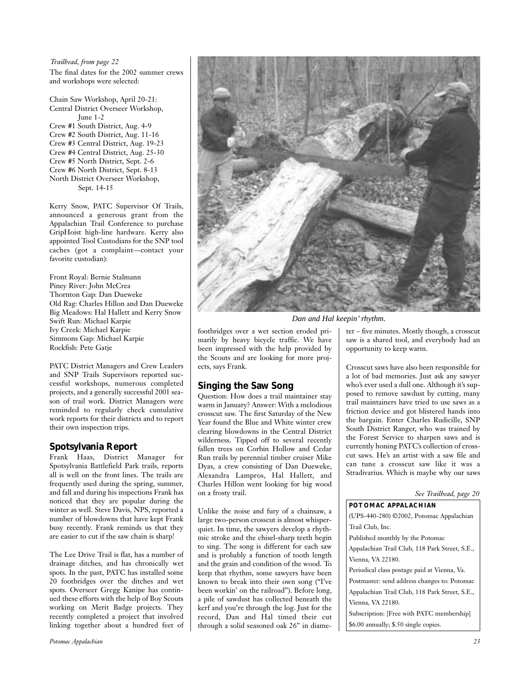The final dates for the 2002 summer crews and workshops were selected: *Trailhead, from page 22*

Chain Saw Workshop, April 20-21: Central District Overseer Workshop, June 1-2 Crew #1 South District, Aug. 4-9 Crew #2 South District, Aug. 11-16 Crew #3 Central District, Aug. 19-23 Crew #4 Central District, Aug. 25-30 Crew #5 North District, Sept. 2-6 Crew #6 North District, Sept. 8-13 North District Overseer Workshop,

Sept. 14-15

Kerry Snow, PATC Supervisor Of Trails, announced a generous grant from the Appalachian Trail Conference to purchase GripHoist high-line hardware. Kerry also appointed Tool Custodians for the SNP tool caches (got a complaint—contact your favorite custodian):

Front Royal: Bernie Stalmann Piney River: John McCrea Thornton Gap: Dan Dueweke Old Rag: Charles Hillon and Dan Dueweke Big Meadows: Hal Hallett and Kerry Snow Swift Run: Michael Karpie Ivy Creek: Michael Karpie Simmons Gap: Michael Karpie Rockfish: Pete Gatje

PATC District Managers and Crew Leaders and SNP Trails Supervisors reported successful workshops, numerous completed projects, and a generally successful 2001 season of trail work. District Managers were reminded to regularly check cumulative work reports for their districts and to report their own inspection trips.

# **Spotsylvania Report**

Frank Haas, District Manager for Spotsylvania Battlefield Park trails, reports all is well on the front lines. The trails are frequently used during the spring, summer, and fall and during his inspections Frank has noticed that they are popular during the winter as well. Steve Davis, NPS, reported a number of blowdowns that have kept Frank busy recently. Frank reminds us that they are easier to cut if the saw chain is sharp!

The Lee Drive Trail is flat, has a number of drainage ditches, and has chronically wet spots. In the past, PATC has installed some 20 footbridges over the ditches and wet spots. Overseer Gregg Kanipe has continued these efforts with the help of Boy Scouts working on Merit Badge projects. They recently completed a project that involved linking together about a hundred feet of



*Dan and Hal keepin' rhythm.*

footbridges over a wet section eroded primarily by heavy bicycle traffic. We have been impressed with the help provided by the Scouts and are looking for more projects, says Frank.

# **Singing the Saw Song**

Question: How does a trail maintainer stay warm in January? Answer: With a melodious crosscut saw. The first Saturday of the New Year found the Blue and White winter crew clearing blowdowns in the Central District wilderness. Tipped off to several recently fallen trees on Corbin Hollow and Cedar Run trails by perennial timber cruiser Mike Dyas, a crew consisting of Dan Dueweke, Alexandra Lampros, Hal Hallett, and Charles Hillon went looking for big wood on a frosty trail.

Unlike the noise and fury of a chainsaw, a large two-person crosscut is almost whisperquiet. In time, the sawyers develop a rhythmic stroke and the chisel-sharp teeth begin to sing. The song is different for each saw and is probably a function of tooth length and the grain and condition of the wood. To keep that rhythm, some sawyers have been known to break into their own song ("I've been workin' on the railroad"). Before long, a pile of sawdust has collected beneath the kerf and you're through the log. Just for the record, Dan and Hal timed their cut through a solid seasoned oak 26" in diameter – five minutes. Mostly though, a crosscut saw is a shared tool, and everybody had an opportunity to keep warm.

Crosscut saws have also been responsible for a lot of bad memories. Just ask any sawyer who's ever used a dull one. Although it's supposed to remove sawdust by cutting, many trail maintainers have tried to use saws as a friction device and got blistered hands into the bargain. Enter Charles Rudicille, SNP South District Ranger, who was trained by the Forest Service to sharpen saws and is currently honing PATC's collection of crosscut saws. He's an artist with a saw file and can tune a crosscut saw like it was a Stradivarius. Which is maybe why our saws

|  |  | See Trailhead, page 20 |  |  |
|--|--|------------------------|--|--|
|--|--|------------------------|--|--|

# **POTOMAC APPALACHIAN**

(UPS-440-280) ©2002, Potomac Appalachian Trail Club, Inc.

Published monthly by the Potomac

Appalachian Trail Club, 118 Park Street, S.E., Vienna, VA 22180.

Periodical class postage paid at Vienna, Va.

Postmaster: send address changes to: Potomac Appalachian Trail Club, 118 Park Street, S.E., Vienna, VA 22180.

Subscription: [Free with PATC membership]